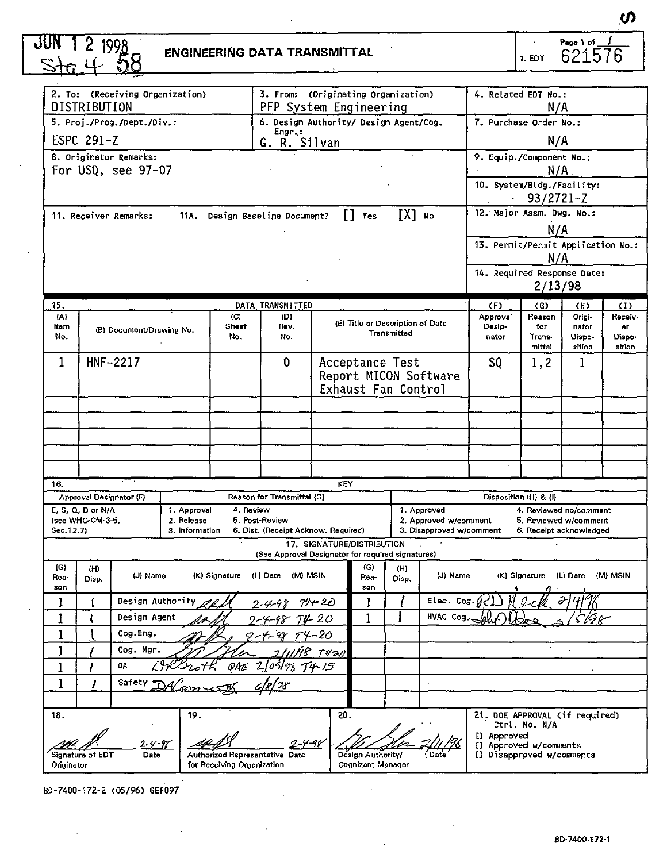| 13. Permit/Permit Application No.:<br>14. Required Response Date:<br>(II)<br>Origi-<br>Receiv-<br>nator<br>Dispo-<br>Dispo-<br>sition<br>sition<br>1 |  |  | N/A<br>N/A<br>N/A<br>$93/2721 - Z$<br>N/A<br>N/A<br>2/13/98<br>(G)<br>Reason<br>for<br>Trans-<br>mittal<br>1,2 | 4. Related EDT No.:<br>7. Purchase Order No.:<br>9. Equip./Component No.:<br>10. System/Bldg./Facility:<br>$\mathbf{r}$<br>12. Major Assm. Dwg. No.:<br>(F)<br>Approval<br>Desig-<br>nator | DXI No<br>(E) Title or Description of Data   | Yes<br>Transmitted                                          | H.  | 3. From: (Originating Organization)<br>PFP System Engineering<br>6. Design Authority/ Design Agent/Cog.<br>Engr.:<br>R. Silvan<br>G.<br>11A. Design Baseline Document?<br>DATA TRANSMITTED<br>(D) |                                         |                                      | 2. To: (Receiving Organization)<br>5. Proj./Prog./Dept./Div.:<br>8. Originator Remarks:<br>For USQ, see 97-07<br>11. Receiver Remarks: | DISTRIBUTION<br>ESPC 291-Z |                                            |
|------------------------------------------------------------------------------------------------------------------------------------------------------|--|--|----------------------------------------------------------------------------------------------------------------|--------------------------------------------------------------------------------------------------------------------------------------------------------------------------------------------|----------------------------------------------|-------------------------------------------------------------|-----|---------------------------------------------------------------------------------------------------------------------------------------------------------------------------------------------------|-----------------------------------------|--------------------------------------|----------------------------------------------------------------------------------------------------------------------------------------|----------------------------|--------------------------------------------|
|                                                                                                                                                      |  |  |                                                                                                                |                                                                                                                                                                                            |                                              |                                                             |     |                                                                                                                                                                                                   |                                         |                                      |                                                                                                                                        |                            |                                            |
|                                                                                                                                                      |  |  |                                                                                                                |                                                                                                                                                                                            |                                              |                                                             |     |                                                                                                                                                                                                   |                                         |                                      |                                                                                                                                        |                            |                                            |
|                                                                                                                                                      |  |  |                                                                                                                |                                                                                                                                                                                            |                                              |                                                             |     |                                                                                                                                                                                                   |                                         |                                      |                                                                                                                                        |                            |                                            |
|                                                                                                                                                      |  |  |                                                                                                                |                                                                                                                                                                                            |                                              |                                                             |     |                                                                                                                                                                                                   |                                         |                                      |                                                                                                                                        |                            |                                            |
|                                                                                                                                                      |  |  |                                                                                                                |                                                                                                                                                                                            |                                              |                                                             |     |                                                                                                                                                                                                   |                                         |                                      |                                                                                                                                        |                            |                                            |
|                                                                                                                                                      |  |  |                                                                                                                |                                                                                                                                                                                            |                                              |                                                             |     |                                                                                                                                                                                                   |                                         |                                      |                                                                                                                                        |                            |                                            |
|                                                                                                                                                      |  |  |                                                                                                                |                                                                                                                                                                                            |                                              |                                                             |     |                                                                                                                                                                                                   |                                         |                                      |                                                                                                                                        |                            |                                            |
|                                                                                                                                                      |  |  |                                                                                                                |                                                                                                                                                                                            |                                              |                                                             |     |                                                                                                                                                                                                   |                                         |                                      |                                                                                                                                        |                            |                                            |
|                                                                                                                                                      |  |  |                                                                                                                |                                                                                                                                                                                            |                                              |                                                             |     |                                                                                                                                                                                                   |                                         |                                      |                                                                                                                                        |                            |                                            |
|                                                                                                                                                      |  |  |                                                                                                                |                                                                                                                                                                                            |                                              |                                                             |     |                                                                                                                                                                                                   |                                         |                                      |                                                                                                                                        |                            |                                            |
|                                                                                                                                                      |  |  |                                                                                                                |                                                                                                                                                                                            |                                              |                                                             |     |                                                                                                                                                                                                   |                                         |                                      |                                                                                                                                        |                            | 15.                                        |
|                                                                                                                                                      |  |  |                                                                                                                |                                                                                                                                                                                            |                                              |                                                             |     |                                                                                                                                                                                                   | (C)                                     |                                      |                                                                                                                                        |                            | (A)                                        |
|                                                                                                                                                      |  |  |                                                                                                                |                                                                                                                                                                                            |                                              |                                                             |     | Rev.<br>No.                                                                                                                                                                                       | <b>Sheet</b><br>No.                     |                                      | (B) Document/Drawing No.                                                                                                               |                            | Item<br>No.                                |
|                                                                                                                                                      |  |  |                                                                                                                | SQ                                                                                                                                                                                         |                                              | Acceptance Test                                             |     | 0                                                                                                                                                                                                 |                                         |                                      | HNF-2217                                                                                                                               |                            | 1                                          |
|                                                                                                                                                      |  |  |                                                                                                                |                                                                                                                                                                                            | Report MICON Software<br>Exhaust Fan Control |                                                             |     |                                                                                                                                                                                                   |                                         |                                      |                                                                                                                                        |                            |                                            |
|                                                                                                                                                      |  |  |                                                                                                                |                                                                                                                                                                                            |                                              |                                                             |     |                                                                                                                                                                                                   |                                         |                                      |                                                                                                                                        |                            |                                            |
|                                                                                                                                                      |  |  |                                                                                                                |                                                                                                                                                                                            |                                              |                                                             |     |                                                                                                                                                                                                   |                                         |                                      |                                                                                                                                        |                            |                                            |
|                                                                                                                                                      |  |  |                                                                                                                |                                                                                                                                                                                            |                                              |                                                             |     |                                                                                                                                                                                                   |                                         |                                      |                                                                                                                                        |                            |                                            |
|                                                                                                                                                      |  |  |                                                                                                                |                                                                                                                                                                                            |                                              |                                                             |     |                                                                                                                                                                                                   |                                         |                                      |                                                                                                                                        |                            |                                            |
|                                                                                                                                                      |  |  |                                                                                                                |                                                                                                                                                                                            |                                              |                                                             |     |                                                                                                                                                                                                   |                                         |                                      |                                                                                                                                        |                            |                                            |
|                                                                                                                                                      |  |  |                                                                                                                |                                                                                                                                                                                            |                                              |                                                             | KEY |                                                                                                                                                                                                   |                                         |                                      |                                                                                                                                        |                            | 16.                                        |
|                                                                                                                                                      |  |  | Disposition (H) & (I)                                                                                          |                                                                                                                                                                                            |                                              |                                                             |     | Reason for Transmittal (G)                                                                                                                                                                        |                                         |                                      | Approval Designator (F)                                                                                                                |                            |                                            |
| 5. Reviewed w/comment                                                                                                                                |  |  |                                                                                                                |                                                                                                                                                                                            | 2. Approved w/comment                        |                                                             |     | 5. Post-Review                                                                                                                                                                                    |                                         | 2. Release                           |                                                                                                                                        | (see WHC-CM-3-5,           |                                            |
| 6. Receipt acknowledged                                                                                                                              |  |  |                                                                                                                |                                                                                                                                                                                            |                                              |                                                             |     |                                                                                                                                                                                                   |                                         |                                      |                                                                                                                                        |                            |                                            |
|                                                                                                                                                      |  |  |                                                                                                                |                                                                                                                                                                                            |                                              |                                                             |     | (See Approval Designator for required signatures)                                                                                                                                                 |                                         |                                      |                                                                                                                                        |                            |                                            |
| (L) Date (M) MSIN                                                                                                                                    |  |  | (K) Signature                                                                                                  |                                                                                                                                                                                            | (H)<br>(J) Name<br>Disp.                     | (G)<br>Rea-                                                 |     | (L) Date (M) MSIN                                                                                                                                                                                 | (K) Signature                           |                                      | (J) Name                                                                                                                               | (H)<br>Disp.               | (G)<br>Rea-                                |
|                                                                                                                                                      |  |  |                                                                                                                |                                                                                                                                                                                            | Elec. Cog                                    |                                                             |     |                                                                                                                                                                                                   |                                         |                                      | Design Authority                                                                                                                       |                            |                                            |
|                                                                                                                                                      |  |  |                                                                                                                |                                                                                                                                                                                            | <b>HVAC Cog</b>                              | 1                                                           |     |                                                                                                                                                                                                   |                                         |                                      | Design Agent                                                                                                                           | ı                          | 1                                          |
|                                                                                                                                                      |  |  |                                                                                                                |                                                                                                                                                                                            |                                              |                                                             |     |                                                                                                                                                                                                   |                                         |                                      | Cog.Eng.                                                                                                                               |                            | ı                                          |
|                                                                                                                                                      |  |  |                                                                                                                |                                                                                                                                                                                            |                                              |                                                             |     |                                                                                                                                                                                                   |                                         |                                      | Cog. Mgr.                                                                                                                              |                            | 1                                          |
|                                                                                                                                                      |  |  |                                                                                                                |                                                                                                                                                                                            |                                              |                                                             |     | $210919894+15$                                                                                                                                                                                    | OM S                                    |                                      | QA                                                                                                                                     |                            | 1                                          |
|                                                                                                                                                      |  |  |                                                                                                                |                                                                                                                                                                                            |                                              |                                                             |     |                                                                                                                                                                                                   |                                         |                                      | Safety                                                                                                                                 |                            | $\mathbf{I}$                               |
|                                                                                                                                                      |  |  |                                                                                                                |                                                                                                                                                                                            |                                              |                                                             |     |                                                                                                                                                                                                   |                                         |                                      |                                                                                                                                        |                            |                                            |
|                                                                                                                                                      |  |  | Ctrl. No. N/A                                                                                                  |                                                                                                                                                                                            |                                              |                                                             |     |                                                                                                                                                                                                   |                                         |                                      |                                                                                                                                        |                            |                                            |
|                                                                                                                                                      |  |  |                                                                                                                | [] Approved w/comments<br>Il Disapproved w/comments                                                                                                                                        |                                              | Design Authority/                                           |     |                                                                                                                                                                                                   | Authorized Representative Date          |                                      | $2 - 4 - 98$<br>Date                                                                                                                   | Signature of EDT           |                                            |
|                                                                                                                                                      |  |  | 4. Reviewed no/comment                                                                                         | 21. DOE APPROVAL (if required)<br>[] Approved                                                                                                                                              | 1. Approved<br>3. Disapproved w/comment      | 17. SIGNATURE/DISTRIBUTION<br>son<br>1<br>Cognizant Manager | 20. | 6. Dist. (Receipt Acknow. Required)<br>2-4-98 7 <del>91</del> 20<br>9-4-48 TV-20<br>7-4-98 74-20<br>2.Iu/A8 тчэл                                                                                  | 4. Review<br>for Receiving Organization | 1. Approval<br>3. Information<br>19. |                                                                                                                                        | E, S, Q, D or N/A          | Sec.12.7)<br>son<br>1<br>18.<br>Originator |

 $\mathcal{L}_{\mathcal{A}}(k)$  and  $\mathcal{L}_{\mathcal{A}}(k)$  and  $\mathcal{L}_{\mathcal{A}}(k)$ 

 $\mathcal{L}_{\mathrm{in}}$ 

 $\bar{z}$ 

 $\sim$ 

 $\sim$   $\epsilon$ 

BD-7400-172-2 <05/96) GEF097  $\sim$ 

 $\sim$ 

 $\mathcal{L}^{\text{max}}_{\text{max}}$ 

**SC**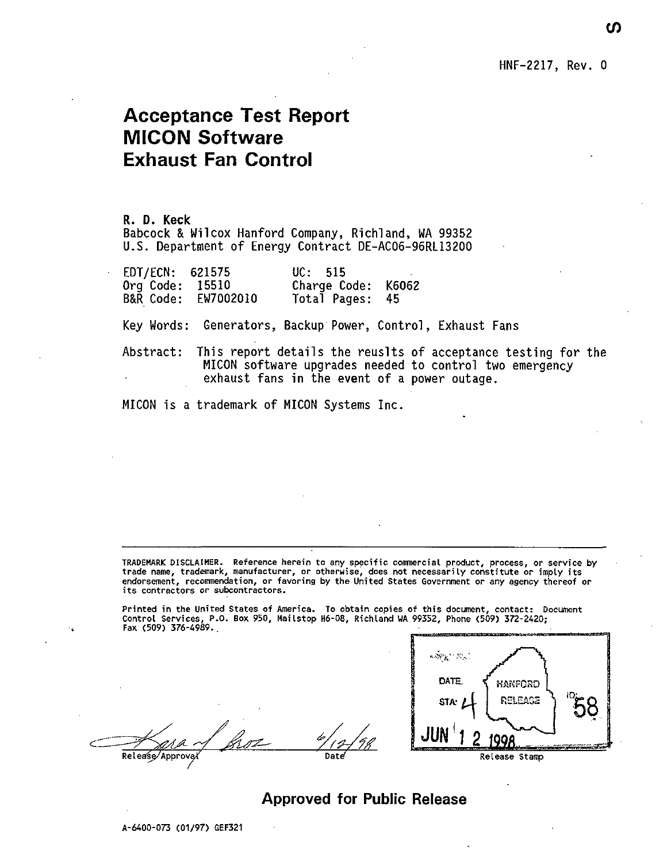HNF-2217, Rev. 0

## **Acceptance Test Report MICON Software Exhaust Fan Control**

**R. D. Keck** Babcock & Wilcox Hanford Company, Richland, WA 99352 U.S. Department of Energy Contract DE-AC06-96RL13200

| EDT/ECN: 621575 |           | UC: 515            |  |
|-----------------|-----------|--------------------|--|
| Org Code:       | 15510     | Charge Code: K6062 |  |
| B&R Code:       | EW7002010 | Total Pages: 45    |  |

Key Words: Generators, Backup Power, Control, Exhaust Fans

Abstract: This report details the reuslts of acceptance testing for the MICON software upgrades needed to control two emergency exhaust fans in the event of a power outage.

MICON is a trademark of MICON Systems Inc.

**TRADEMARK DISCLAIMER. Reference herein to any specific commercial product, process, or service by trade name, trademark, manufacturer, or otherwise, does not necessarily constitute or imply its endorsement, recommendation, or favoring by the United States Government or any agency thereof or its contractors or subcontractors.**

**Printed in the United States of America. To obtain copies of this document, contact: Document Control Services, P.O. Box 950, Hailstop H6-08, Richland WA 99352, Phone (509) 372-2420; Fax (509) 376-4989..**

 $\mathbb{Z}^{\mu}$ **ReIea€e/Approva/**



### Approved for Public Release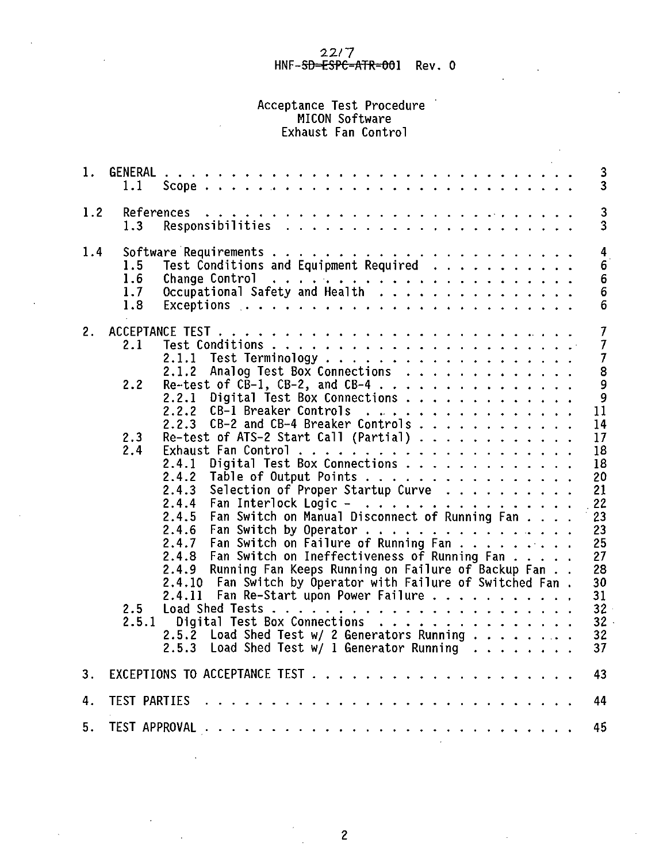# 22/7<br>HNF-<del>SD-ESPC-ATR-00</del>1 Rev.0

# Acceptance Test Procedure HICON Software Exhaust Fan Control

| 1.  | GENERAL<br>1.1                                                                                                                                                                                                                                                                                                                                                                                                                                                                                                                                                                                                                                                                                                                                                                                                                                                                                                                                                                                                   | 3<br>3                                                                                                                                                                              |
|-----|------------------------------------------------------------------------------------------------------------------------------------------------------------------------------------------------------------------------------------------------------------------------------------------------------------------------------------------------------------------------------------------------------------------------------------------------------------------------------------------------------------------------------------------------------------------------------------------------------------------------------------------------------------------------------------------------------------------------------------------------------------------------------------------------------------------------------------------------------------------------------------------------------------------------------------------------------------------------------------------------------------------|-------------------------------------------------------------------------------------------------------------------------------------------------------------------------------------|
| 1.2 | References<br>1.3                                                                                                                                                                                                                                                                                                                                                                                                                                                                                                                                                                                                                                                                                                                                                                                                                                                                                                                                                                                                | 3<br>3                                                                                                                                                                              |
| 1.4 | 1.5<br>Test Conditions and Equipment Required<br>1.6<br>1.7<br>1.8                                                                                                                                                                                                                                                                                                                                                                                                                                                                                                                                                                                                                                                                                                                                                                                                                                                                                                                                               | $\overline{\mathbf{4}}$<br>6<br>6<br>$\bar{6}$<br>6                                                                                                                                 |
| 2.  | 2.1<br>Analog Test Box Connections<br>2.1.2<br>Re-test of $C\bar{B}-1$ , CB-2, and CB-4<br>2.2<br>Digital Test Box Connections<br>2.2.1<br>2.2.2<br>CB-1 Breaker Controls<br>CB-2 and CB-4 Breaker Controls<br>2.2.3<br>Re-test of ATS-2 Start Call (Partial) $\ldots \ldots \ldots \ldots$<br>2.3<br>2.4<br>Digital Test Box Connections<br>2.4.1<br>2.4.2<br>Table of Output Points<br>Selection of Proper Startup Curve<br>2.4.3<br>2.4.4<br>Fan Interlock Logic -<br>Fan Switch on Manual Disconnect of Running Fan<br>2.4.5<br>2.4.6<br>Fan Switch by Operator<br>Fan Switch on Failure of Running Fan<br>2.4.7<br>Fan Switch on Ineffectiveness of Running Fan<br>2.4.8<br>Running Fan Keeps Running on Failure of Backup Fan<br>2.4.9<br>Fan Switch by Operator with Failure of Switched Fan.<br>2.4.10<br>Fan Re-Start upon Power Failure<br>2.4.11<br>2.5<br>2.5.1<br>Digital Test Box Connections<br>Load Shed Test w/ 2 Generators Running<br>2.5.2<br>Load Shed Test w/ 1 Generator Running<br>2.5.3 | $\overline{7}$<br>$\overline{7}$<br>$\overline{7}$<br>8<br>ݹ<br>9<br>11<br>14<br>17<br>18<br>18<br>20<br>21<br>22<br>23<br>23<br>25<br>27<br>28<br>30<br>31<br>32<br>32<br>32<br>37 |
|     |                                                                                                                                                                                                                                                                                                                                                                                                                                                                                                                                                                                                                                                                                                                                                                                                                                                                                                                                                                                                                  |                                                                                                                                                                                     |
| 3.  |                                                                                                                                                                                                                                                                                                                                                                                                                                                                                                                                                                                                                                                                                                                                                                                                                                                                                                                                                                                                                  | 43                                                                                                                                                                                  |
| 4.  | TEST PARTIES<br>$\mathbf{1} \quad \mathbf{2} \quad \mathbf{3} \quad \mathbf{4} \quad \mathbf{5} \quad \mathbf{6} \quad \mathbf{6} \quad \mathbf{7} \quad \mathbf{8} \quad \mathbf{9} \quad \mathbf{10} \quad \mathbf{11} \quad \mathbf{12} \quad \mathbf{13} \quad \mathbf{14} \quad \mathbf{15} \quad \mathbf{16} \quad \mathbf{17} \quad \mathbf{18} \quad \mathbf{19} \quad \mathbf{19} \quad \mathbf{19} \quad \mathbf{19} \quad \mathbf{19} \quad \mathbf{19} \quad \mathbf{1$                                                                                                                                                                                                                                                                                                                                                                                                                                                                                                                              | 44                                                                                                                                                                                  |
| 5.  |                                                                                                                                                                                                                                                                                                                                                                                                                                                                                                                                                                                                                                                                                                                                                                                                                                                                                                                                                                                                                  | 45                                                                                                                                                                                  |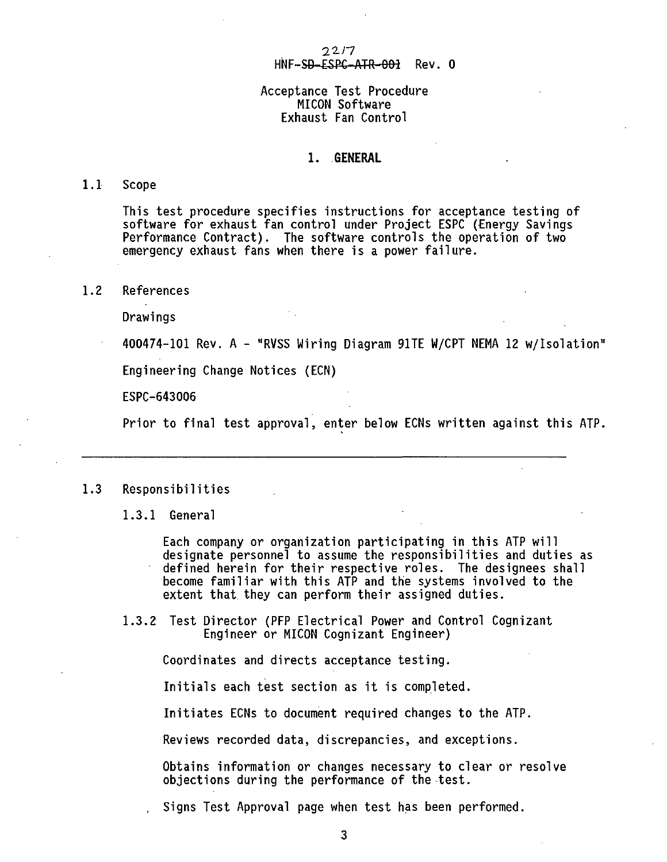#### $2217$ HNF-SD-ESPC-ATR-001 Rev. 0

#### Acceptance Test Procedure MICON Software Exhaust Fan Control

#### **1. GENERAL**

#### **1**.1 Scope

This test procedure specifies instructions for acceptance testing of software for exhaust fan control under Project ESPC (Energy Savings Performance Contract). The software controls the operation of two emergency exhaust fans when there is a power failure.

1.2 References

Drawings

400474-101 Rev. A - "RVSS Wiring Diagram 91TE W/CPT NEMA 12 w/Isolation"

Engineering Change Notices (ECN)

ESPC-643006

Prior to final test approval, enter below ECNs written against this ATP.

#### 1.3 Responsibilities

1.3.1 General

Each company or organization participating in this ATP will designate personnel to assume the responsibilities and duties as defined herein for their respective roles. The designees shall become familiar with this ATP and the systems involved to the extent that they can perform their assigned duties.

1.3.2 Test Director (PFP Electrical Power and Control Cognizant

Initials each test section as it is completed.

Obtains information or changes necessary to clear or resolve objections during the performance of the test.

Signs Test Approval page when test has been performed.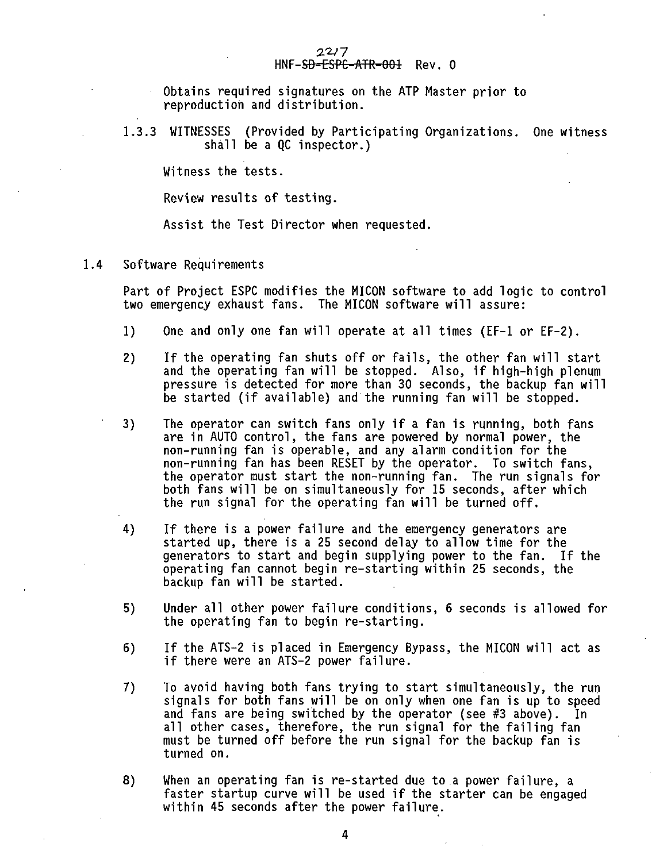**Obtains required signatures on the ATP Master prior to reproduction and distribution.**

**1.3.3 WITNESSES (Provided by Participating Organizations. One witness shall be a QC inspector.)**

**Witness the tests.**

**Review results of testing.**

**Assist the Test Director when requested.**

#### **1.4 Software Requirements**

**Part of Project ESPC modifies the MICON software to add logic to control two emergency exhaust fans. The MICON software will assure:**

- **1) One and only one fan will operate at all times (EF-1 or EF-2).**
- **2) If the operating fan shuts off or fails, the other fan will start and the operating fan will be stopped. Also, if high-high plenum pressure is detected for more than 30 seconds, the backup fan will be started (if available) and the running fan will be stopped.**
- **3) The operator can switch fans only if a fan is running, both fans are in AUTO control, the fans are powered by normal power, the non-running fan is operable, and any alarm condition for the non-running fan has been RESET by the operator. To switch fans, the operator must start the non-running fan. The run signals for both fans will be on simultaneously for 15 seconds, after which the run signal for the operating fan will be turned off.**
- **4) If there is a power failure and the emergency generators are started up, there is a 25 second delay to allow time for the generators to start and begin supplying power to the fan. If the operating fan cannot begin re-starting within 25 seconds, the backup fan will be started.**
- **5) Under all other power failure conditions, 6 seconds is allowed for the operating fan to begin re-starting.**
- **6) If the ATS-2 is placed in Emergency Bypass, the MICON will act as if there were an ATS-2 power failure.**
- **7) To avoid having both fans trying to start simultaneously, the run signals for both fans will be on only when one fan is up to speed and fans are being switched by the operator (see #3 above). In all other cases, therefore, the run signal for the failing fan must be turned off before the run signal for the backup fan is turned on.**
- **8) When an operating fan is re-started due to a power failure, a faster startup curve will be used if the starter can be engaged within 45 seconds after the power failure.**

**4**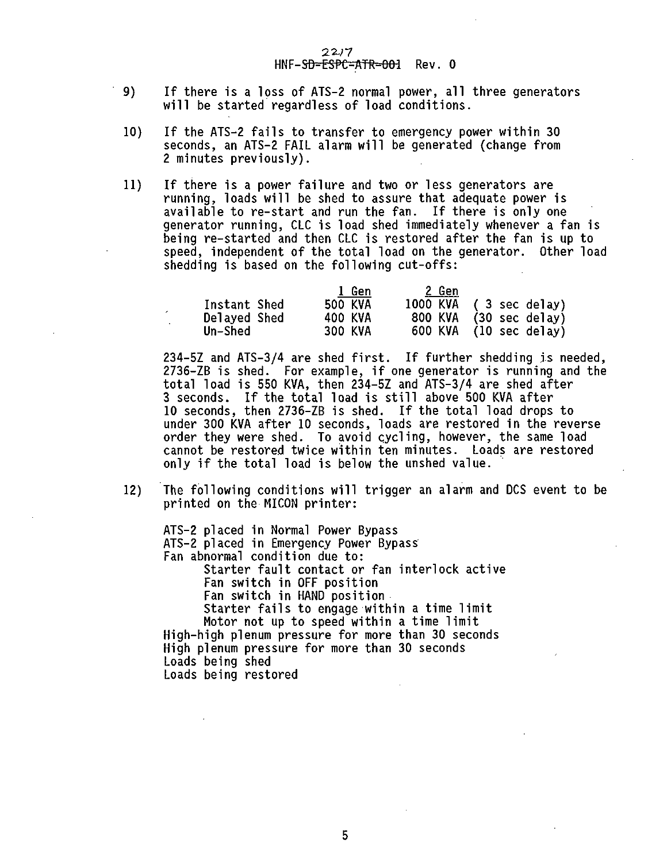#### $22/7$ HNF-SD=ESPC=ATR=001 Rev. 0

- **9) If there is a loss of ATS-2 normal power, all three generators will be started regardless of load conditions.**
- **10) If the ATS-2 fails to transfer to emergency power within 30 seconds, an ATS-2 FAIL alarm will be generated (change from 2 minutes previously).**
- **11) If there is a power failure and two or less generators are running, loads will be shed to assure that adequate power is available to re-start and run the fan. If there is only one generator running, CLC is load shed immediately whenever a fan is being re-started and then CLC is restored after the fan is up to speed, independent of the total load on the generator. Other load shedding is based on the following cut-offs:**

|              | l Gen          | 2 Gen          |                |
|--------------|----------------|----------------|----------------|
| Instant Shed | <b>500 KVA</b> | 1000 KVA       | (3 sec delay)  |
| Delayed Shed | 400 KVA        | <b>800 KVA</b> | (30 sec delay) |
| Un-Shed      | <b>300 KVA</b> | 600 KVA        | (10 sec delay) |

**234-5Z and ATS-3/4 are shed first. If further shedding is needed, 2736-ZB is shed. For example, if one generator is running and the total load is 550 KVA, then 234-5Z and ATS-3/4 are shed after 3 seconds. If the total load is still above 500 KVA after 10 seconds, then 2736-ZB is shed. If the total load drops to under 300 KVA after 10 seconds, loads are restored in the reverse order they were shed. To avoid cycling, however, the same load cannot be restored twice within ten minutes. Loads are restored only if the total load is below the unshed value.**

**12) The following conditions will trigger an alarm and DCS event to be printed on the MICON printer:**

**ATS-2 placed in Normal Power Bypass ATS-2 placed in Emergency Power Bypass Fan abnormal condition due to: Starter fault contact or fan interlock active Fan switch in OFF position Fan switch in HAND position Starter fails to engage within a time limit Motor not up to speed within a time limit High-high plenum pressure for more than 30 seconds High plenum pressure for more than 30 seconds Loads being shed Loads being restored**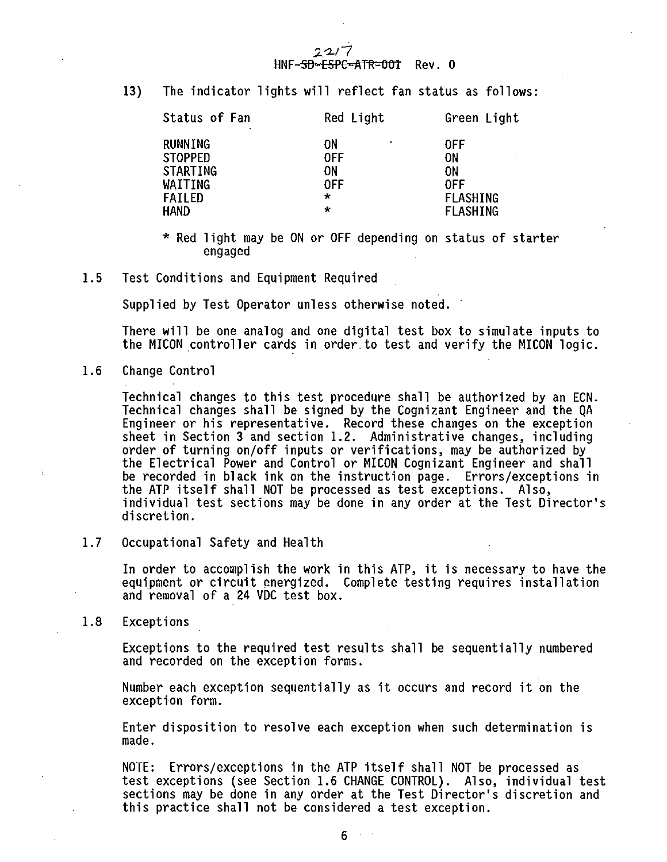#### $22/7$ HNF-SD-ESPC-ATR=001 Rev. 0

**13) The indicator lights will reflect fan status as follows:**

| Status of Fan<br>٠                                                                         | Red Light                   | Green Light                                    |
|--------------------------------------------------------------------------------------------|-----------------------------|------------------------------------------------|
| RUNNING<br><b>STOPPED</b><br>STARTING<br>WAITING<br><b>FAILED</b><br>÷<br><b>HAND</b><br>÷ | ٥N<br>٠<br>0FF<br>ON<br>0FF | 0FF<br>ΟN<br>0N<br>0FF<br>FLASHING<br>FLASHING |

- **\* Red light may be ON or OFF depending on status of starter engaged**
- **1.5 Test Conditions and Equipment Required**

**Supplied by Test Operator unless otherwise noted.**

**There will be one analog and one digital test box to simulate inputs to the MICON controller cards in order to test and verify the MICON logic.**

**1.6 Change Control**

**Technical changes to this test procedure shall be authorized by an ECN. Technical changes shall be signed by the Cognizant Engineer and the QA Engineer or his representative. Record these changes on the exception sheet in Section 3 and section 1.2. Administrative changes, including order of turning on/off inputs or verifications, may be authorized by the Electrical Power and Control or MICON Cognizant Engineer and shall be recorded in black ink on the instruction page. Errors/exceptions in the ATP itself shall NOT be processed as test exceptions. Also, individual test sections may be done in any order at the Test Director's discretion.**

**1.7 Occupational Safety and Health**

**In order to accomplish the work in this ATP, it is necessary to have the equipment or circuit energized. Complete testing requires installation and removal of a 24 VDC test box.**

**1.8 Exceptions**

**Exceptions to the required test results shall be sequentially numbered and recorded on the exception forms.**

**Number each exception sequentially as it occurs and record it on the exception form.**

**Enter disposition to resolve each exception when such determination is made.**

**NOTE: Errors/exceptions in the ATP itself shall NOT be processed as test exceptions (see Section 1.6 CHANGE CONTROL). Also, individual test sections may be done in any order at the Test Director's discretion and this practice shall not be considered a test exception.**

6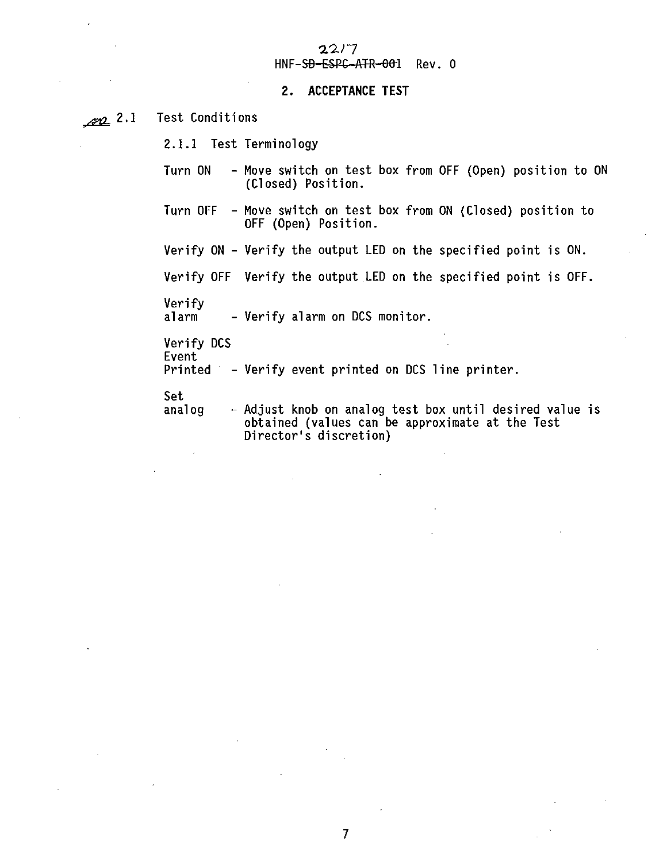# $22/7$ <br> $HNF-SB-ESPC-ATR-001$  Rev. 0

#### 2. ACCEPTANCE TEST

 $2.1$ Test Conditions

2.1.1 Test Terminology

- <sup>2</sup>2.1.1 Test Terminology **Terminology** Turn on the control of the original control of the only of the only of the only of the only of the only of the o (Closed) Position.
- Turn OFF Move switch on test box from ON (Closed) position to OFF (Open) Position.

Verify ON - Verify the output LED on the specified point is ON.

Verify OFF Verify the output LED on the specified point is OFF.

Verify<br>alarm

- Verify alarm on DCS monitor.

Verify DCS Event

Printed - Verify event printed on DCS line printer.

Set<br>analog

- Adjust knob on analog test box until desired value is obtained (values can be approximate at the Test Director's discretion)

 $\overline{7}$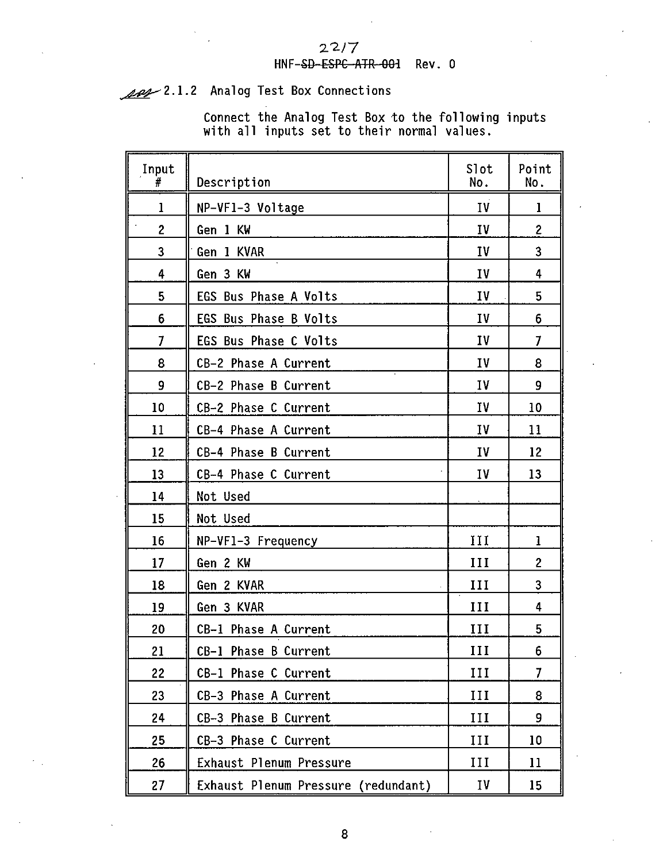### $22/7$ **HNF-SD ESPC ATR OOi Rev. 0**

Analog Test Box Connections

**Connect the Analog Test Box to the following inputs with all inputs set to their normal values.**

| Input<br>#     | Description                         | Slot<br>No. | Point<br>No.   |
|----------------|-------------------------------------|-------------|----------------|
| 1              | NP-VF1-3 Voltage                    | IV          | 1              |
| $\overline{c}$ | Gen 1 KW                            | IV          | 2              |
| 3              | Gen 1 KVAR                          | IV          | 3              |
| 4              | Gen 3 KW                            | IV          | 4              |
| 5              | EGS Bus Phase A Volts               | IV          | 5              |
| 6              | EGS Bus Phase B Volts               | I٧          | 6              |
| $\overline{1}$ | EGS Bus Phase C Volts               | I٧          | 7              |
| 8              | CB-2 Phase A Current                | IV          | 8              |
| 9              | CB-2 Phase B Current                | IV          | 9              |
| 10             | CB-2 Phase C Current                | IV          | 10             |
| 11             | CB-4 Phase A Current                | I٧          | 11             |
| 12             | CB-4 Phase B Current                | I٧          | 12             |
| 13             | CB-4 Phase C Current                | I٧          | 13             |
| 14             | Not Used                            |             |                |
| 15             | Not Used                            |             |                |
| 16             | NP-VF1-3 Frequency                  | 111         | ı              |
| 17             | Gen 2 KW                            | ш           | $\overline{c}$ |
| 18             | Gen 2 KVAR                          | III         | 3              |
| 19             | Gen 3 KVAR                          | III         | 4              |
| 20             | CB-1 Phase A Current                | III         | 5              |
| 21             | CB-1 Phase B Current                | ш           | 6              |
| 22             | CB-1 Phase C Current                | III         | $\overline{1}$ |
| 23             | CB-3 Phase A Current                | III         | 8              |
| 24             | CB-3 Phase B Current                | III         | 9              |
| 25             | CB-3 Phase C Current                | H           | 10             |
| 26             | Exhaust Plenum Pressure             | III         | 11             |
| 27             | Exhaust Plenum Pressure (redundant) | <b>IV</b>   | 15             |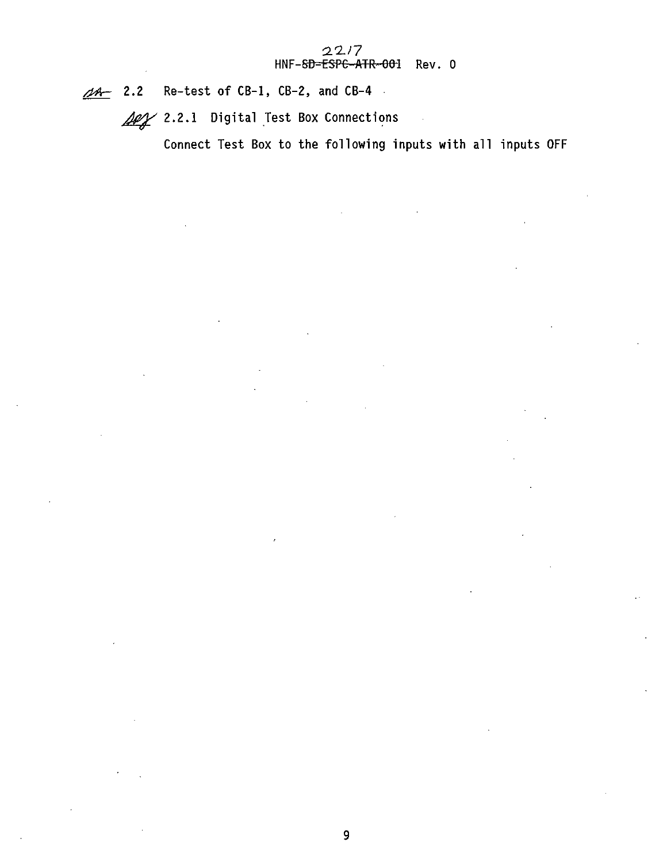$\overline{\mathscr{A}}$  2.2 Re-test of CB-1, CB-2, and CB-4.

**2.2.1 Digital Test Box Connections**

**Connect Test Box to the following inputs with all inputs OFF**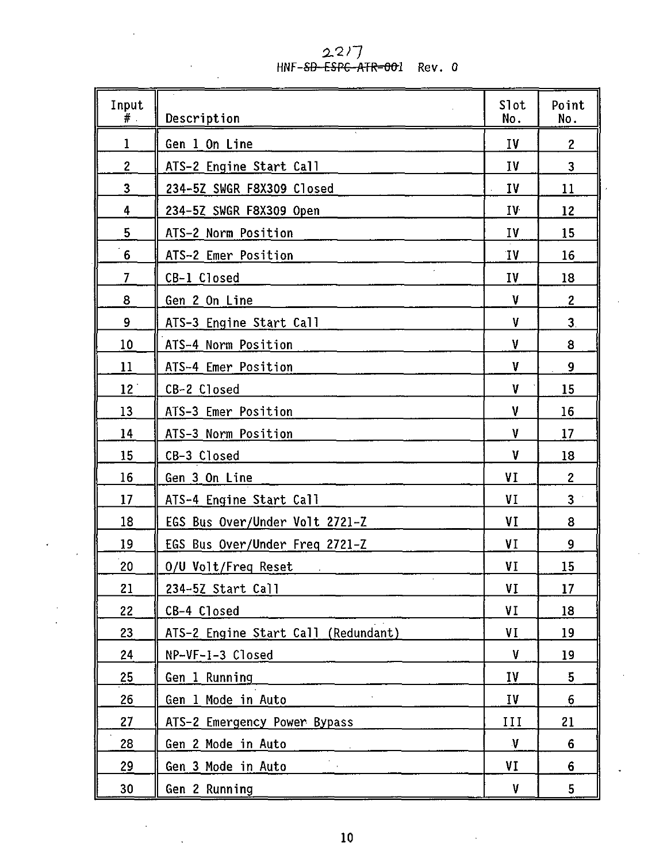$227$ <br>HNF-<del>SD ESPC ATR-00</del>1 Rev. 0

 $\bar{z}$ 

÷,

| Input<br>#.     | Description                                                | Slot<br>No.               | Point<br>No.   |
|-----------------|------------------------------------------------------------|---------------------------|----------------|
| 1               | Gen 1 On Line                                              | IV                        | $\overline{c}$ |
| $\overline{c}$  | ATS-2 Engine Start Call                                    | I٧                        | 3              |
| 3               | 234-5Z SWGR F8X309 Closed                                  | I٧<br>$\mathcal{L}^{\pm}$ | 11             |
| 4               | 234-5Z SWGR F8X309 Open                                    | I۷                        | 12             |
| 5               | ATS-2 Norm Position                                        | IV                        | 15             |
| 6               | ATS-2 Emer Position                                        | ٦V                        | 16             |
| $\overline{7}$  | CB-1 Closed                                                | 1V                        | 18             |
| 8               | Gen 2 On Line                                              | ٧                         | 2              |
| 9               | ATS-3 Engine Start Call                                    | v                         | 3.             |
| 10              | ATS-4 Norm Position                                        | ۷                         | 8              |
| 11              | ATS-4 Emer Position                                        | ۷                         | 9              |
| 12 <sup>1</sup> | CB-2 Closed                                                | V                         | 15             |
| 13              | ATS-3 Emer Position                                        | ۷                         | 16             |
| 14              | ATS-3 Norm Position                                        | V                         | 17             |
| 15              | CB-3 Closed                                                | ٧                         | 18             |
| 16              | Gen 3 On Line                                              | VI                        | $\overline{c}$ |
| 17              | ATS-4 Engine Start Call                                    | VI                        | 3              |
| 18              | EGS Bus Over/Under Volt 2721-Z                             | ٧I                        | 8              |
| 19              | EGS Bus Over/Under Freq 2721-Z                             | ٧I                        | 9              |
| 20              | 0/U Volt/Freq Reset<br>the contract of the contract of the | VI                        | 15             |
| 21              | 234-5Z Start Call                                          | VI                        | 17             |
| 22              | CB-4 Closed                                                | ۷I                        | 18             |
| 23              | ATS-2 Engine Start Call (Redundant)                        | VI                        | 19             |
| 24              | NP-VF-1-3 Closed                                           | V                         | 19             |
| 25              | Gen 1 Running                                              | <b>IV</b>                 | 5              |
| 26              | Gen 1 Mode in Auto                                         | I٧                        | 6              |
| 27              | ATS-2 Emergency Power Bypass                               | ш                         | 21             |
| 28              | Gen 2 Mode in Auto                                         | $\boldsymbol{\mathsf{V}}$ | 6              |
| 29              | Gen 3 Mode in Auto                                         | ٧I                        | 6              |
| 30              | Gen 2 Running                                              | ۷                         | 5              |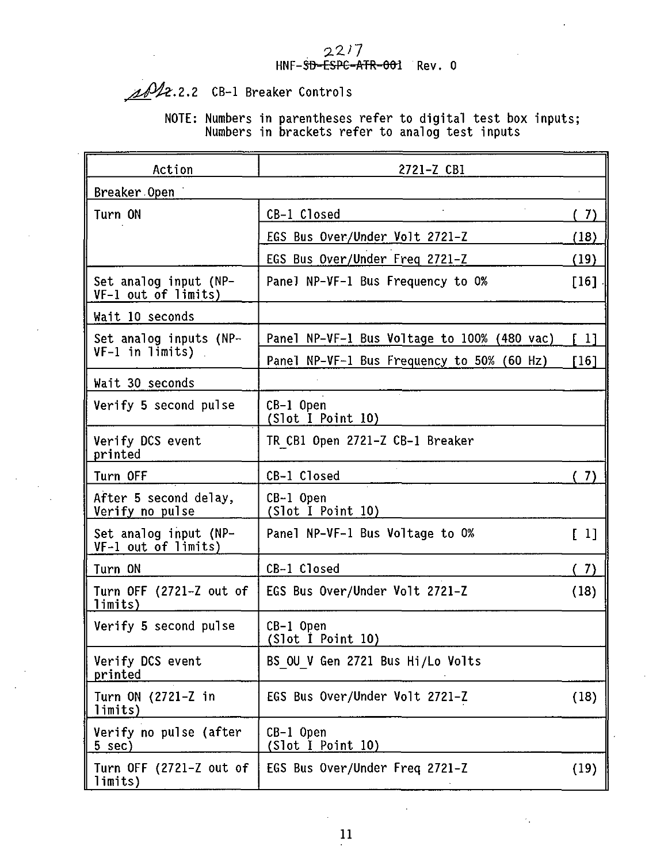$22/7$ <br>HNF-SD-ESPC-ATR-001 Rev. 0

 $AD2.2.2$  CB-1 Breaker Controls

**NOTE: Numbers in parentheses refer to digital test box inputs; Numbers in brackets refer to analog test inputs**

| Action                                       | 2721-Z CBI                                                                                                                      |      |
|----------------------------------------------|---------------------------------------------------------------------------------------------------------------------------------|------|
| Breaker Open                                 |                                                                                                                                 |      |
| Turn ON                                      | $\mathcal{L}^{\mathcal{L}}$<br>CB-1 Closed                                                                                      | (7)  |
|                                              | EGS Bus Over/Under Volt 2721-Z                                                                                                  | (18) |
|                                              | EGS Bus Over/Under Freg 2721-Z                                                                                                  | (19) |
| Set analog input (NP-<br>VF-1 out of limits) | Panel NP-VF-1 Bus Frequency to 0%                                                                                               | 1161 |
| Wait 10 seconds                              |                                                                                                                                 |      |
| Set analog inputs (NP-                       | Panel NP-VF-1 Bus Voltage to 100% (480 vac)                                                                                     | f 11 |
| VF-1 in limits)                              | Panel NP-VF-1 Bus Frequency to 50% (60 Hz)                                                                                      | [16] |
| Wait 30 seconds                              |                                                                                                                                 |      |
| Verify 5 second pulse                        | CB-1 Open<br>(Slot I Point 10)                                                                                                  |      |
| Verify DCS event<br>printed                  | TR CB1 Open 2721-Z CB-1 Breaker                                                                                                 |      |
| Turn OFF                                     | CB-1 Closed<br>and the company of the company of the company of the company of the company of the company of the company of the | (7)  |
| After 5 second delay,<br>Verify no pulse     | CB-1 Open<br>(Slot I Point 10)                                                                                                  |      |
| Set analog input (NP-<br>VF-1 out of limits) | Panel NP-VF-1 Bus Voltage to 0%                                                                                                 | [ 1] |
| Turn ON                                      | CB-1 Closed                                                                                                                     | (7)  |
| Turn OFF (2721-Z out of<br>limits)           | EGS Bus Over/Under Volt 2721-Z                                                                                                  | (18) |
| Verify 5 second pulse                        | CB-1 Open<br>(Slot I Point 10)                                                                                                  |      |
| Verify DCS event<br>printed                  | BS OU V Gen 2721 Bus Hi/Lo Volts                                                                                                |      |
| Turn ON (2721-Z in<br>limits)                | EGS Bus Over/Under Volt 2721-Z                                                                                                  | (18) |
| Verify no pulse (after<br>5 sec)             | CB-1 Open<br>(Slot I Point 10)                                                                                                  |      |
| Turn OFF (2721-Z out of<br>limits)           | EGS Bus Over/Under Freq 2721-Z                                                                                                  | (19) |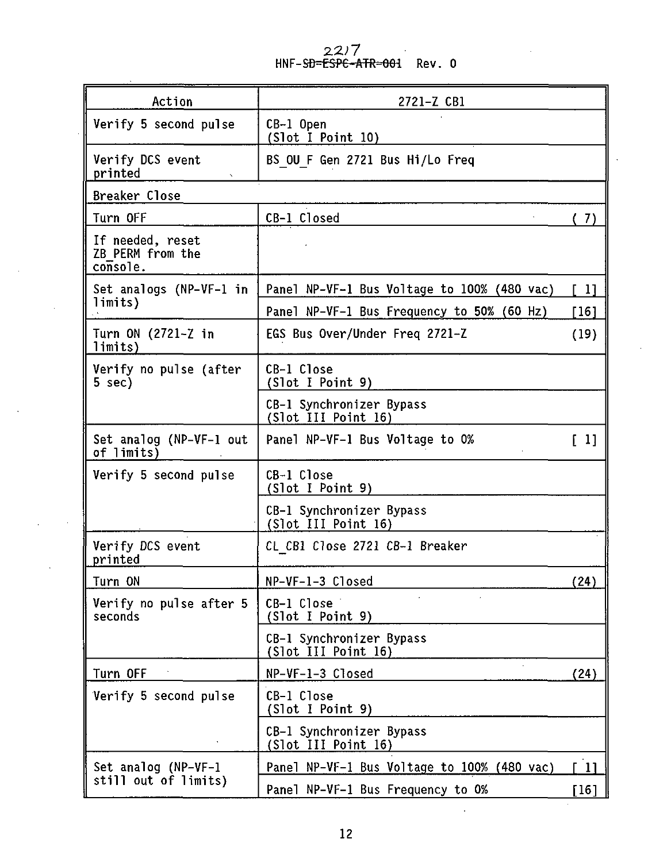2*2)7*<br><del>ESPC-ATR=001</del> Rev. 0

| Action                                           | 2721-Z CB1                                      |             |
|--------------------------------------------------|-------------------------------------------------|-------------|
| Verify 5 second pulse                            | CB-1 Open<br>(Slot I Point 10)                  |             |
| Verify DCS event<br>printed                      | BS OU F Gen 2721 Bus Hi/Lo Freq                 |             |
| Breaker Close                                    |                                                 |             |
| Turn OFF                                         | CB-1 Closed                                     | (7)         |
| If needed, reset<br>ZB PERM from the<br>console. |                                                 |             |
| Set analogs (NP-VF-1 in                          | Panel NP-VF-1 Bus Voltage to 100% (480 vac)     | $\sqrt{11}$ |
| limits)                                          | Panel NP-VF-1 Bus Frequency to 50% (60 Hz)      | [16]        |
| Turn ON (2721-Z in<br>limits)                    | EGS Bus Over/Under Freg 2721–Z                  | (19)        |
| Verify no pulse (after<br>5 sec)                 | CB-1 Close<br>(Slot I Point 9)                  |             |
|                                                  | CB-1 Synchronizer Bypass<br>(Slot III Point 16) |             |
| Set analog (NP-VF-1 out<br>of limits)            | Panel NP-VF-1 Bus Voltage to 0%                 | $\sqrt{11}$ |
| Verify 5 second pulse                            | CB-1 Close<br>(Slot I Point 9)                  |             |
|                                                  | CB-1 Synchronizer Bypass<br>(Slot III Point 16) |             |
| Verify DCS event<br>printed                      | CL CB1 Close 2721 CB-1 Breaker                  |             |
| Turn ON                                          | NP-VF-1-3 Closed                                | (24)        |
| Verify no pulse after 5<br>seconds               | CB-1 Close<br>(Slot I Point 9)                  |             |
|                                                  | CB-1 Synchronizer Bypass<br>(Slot III Point 16) |             |
| Turn OFF                                         | NP-VF-1-3 Closed                                | (24)        |
| Verify 5 second pulse                            | CB-1 Close<br>(Slot I Point 9)                  |             |
|                                                  | CB-1 Synchronizer Bypass<br>(Slot III Point 16) |             |
| Set analog (NP-VF-1                              | Panel NP-VF-1 Bus Voltage to 100% (480 vac)     | L 11        |
| still out of limits)                             | Panel NP-VF-1 Bus Frequency to 0%               | [16]        |

 $\mathcal{L}_{\rm{max}}$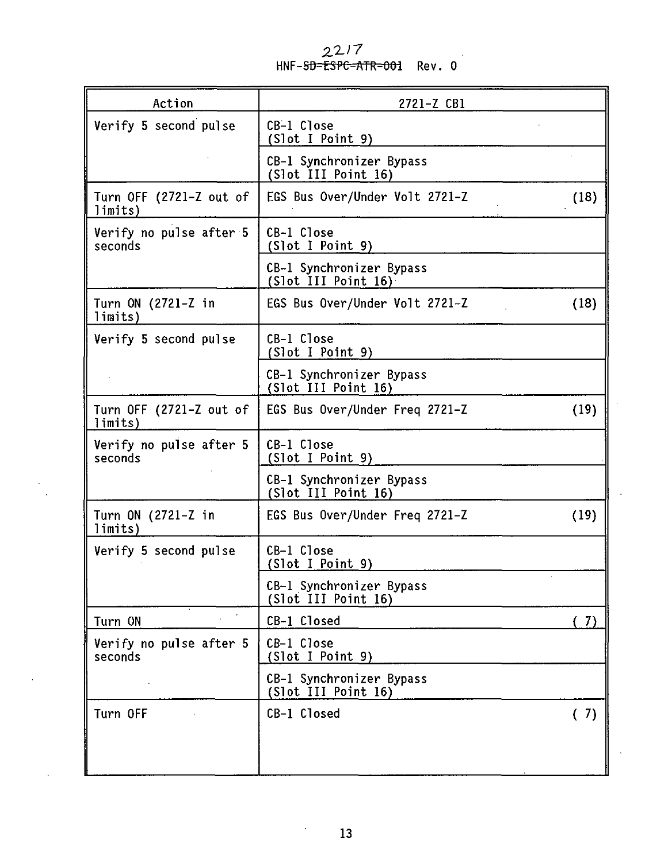2217 HNF-<del>SD=ESPC-ATR=001</del> Rev.0

| Action                             | 2721-Z CB1                                      |  |
|------------------------------------|-------------------------------------------------|--|
| Verify 5 second pulse              | CB-1 Close<br>(Slot I Point 9)                  |  |
|                                    | CB-1 Synchronizer Bypass<br>(Slot III Point 16) |  |
| Turn OFF (2721-Z out of<br>limits) | EGS Bus Over/Under Volt 2721-Z<br>(18)          |  |
| Verify no pulse after 5<br>seconds | CB-1 Close<br>(Slot I Point 9)                  |  |
|                                    | CB-1 Synchronizer Bypass<br>(Slot III Point 16) |  |
| Turn ON (2721-Z in<br>limits)      | EGS Bus Over/Under Volt 2721-Z<br>(18)          |  |
| Verify 5 second pulse              | CB-1 Close<br>(Slot I Point 9)                  |  |
|                                    | CB-1 Synchronizer Bypass<br>(Slot III Point 16) |  |
| Turn OFF (2721-Z out of<br>limits) | EGS Bus Over/Under Freq 2721-Z<br>(19)          |  |
| Verify no pulse after 5<br>seconds | CB-1 Close<br>(Slot I Point 9)                  |  |
|                                    | CB-1 Synchronizer Bypass<br>(Slot III Point 16) |  |
| Turn ON (2721-Z in<br>limits)      | (19)<br>EGS Bus Over/Under Freg 2721-Z          |  |
| Verify 5 second pulse              | CB-1 Close<br>(Slot I Point 9)                  |  |
|                                    | CB-1 Synchronizer Bypass<br>(Slot III Point 16) |  |
| $\alpha$<br>$\sim$<br>Turn ON      | CB-1 Closed<br>(7)                              |  |
| Verify no pulse after 5<br>seconds | CB-1 Close<br>(Slot I Point 9)                  |  |
|                                    | CB-1 Synchronizer Bypass<br>(Slot III Point 16) |  |
| Turn OFF                           | CB-1 Closed<br>(7)                              |  |
|                                    |                                                 |  |

 $\cdot$ 

l,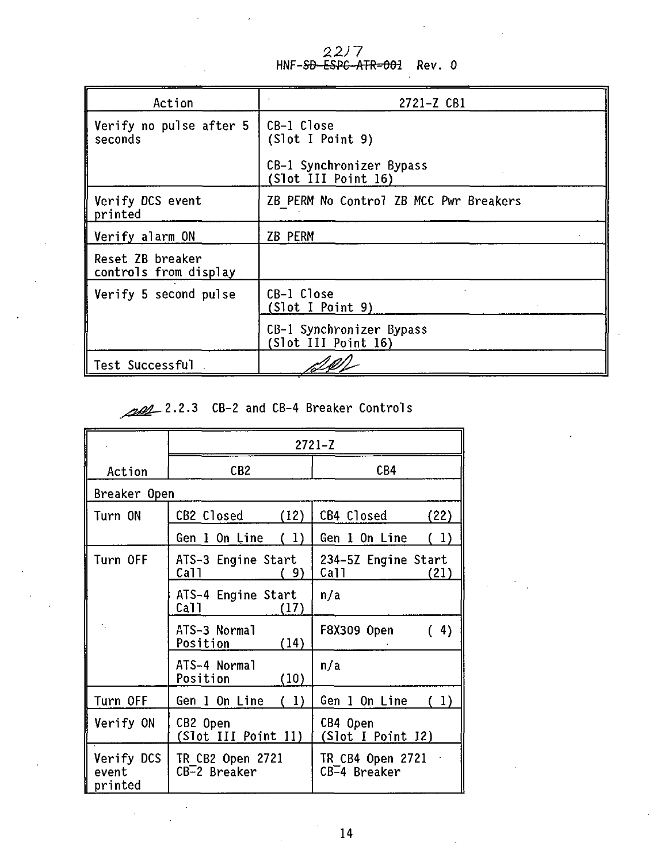22*)* 7<br>HNF-<del>SD-ESPC-ATR=001</del> Rev. 0

| Action                                    | 2721-Z CB1                                      |
|-------------------------------------------|-------------------------------------------------|
| Verify no pulse after 5<br>seconds        | CB-1 Close<br>(Slot I Point 9)                  |
|                                           | CB-1 Synchronizer Bypass<br>(Slot III Point 16) |
| Verify DCS event<br>printed               | ZB PERM No Control ZB MCC Pwr Breakers          |
| Verify alarm ON                           | ZB PERM                                         |
| Reset ZB breaker<br>controls from display |                                                 |
| Verify 5 second pulse                     | CB-1 Close<br>(Slot I Point 9)                  |
|                                           | CB-1 Synchronizer Bypass<br>(Slot III Point 16) |
| Test Successful                           |                                                 |

## 2.2.3 CB-2 and CB-4 Breaker Controls

|                                | $2721 - Z$                         |                                     |  |  |
|--------------------------------|------------------------------------|-------------------------------------|--|--|
| Action                         | CB <sub>2</sub>                    | CB4                                 |  |  |
| Breaker Open                   |                                    |                                     |  |  |
| Turn ON                        | CB2 Closed<br>(12)                 | CB4 Closed<br>(22)                  |  |  |
|                                | Gen 1 On Line<br>(1)               | Gen 1 On Line<br>(1)                |  |  |
| Turn OFF                       | ATS-3 Engine Start<br>Call<br>9)   | 234-5Z Engine Start<br>Call<br>(21) |  |  |
|                                | ATS-4 Engine Start<br>Call<br>(17) | n/a                                 |  |  |
|                                | ATS-3 Normal<br>(14)<br>Position   | (4)<br>F8X309 Open                  |  |  |
|                                | ATS-4 Normal<br>Position<br>(10)   | n/a                                 |  |  |
| Turn OFF                       | Gen 1 On Line<br>(1)               | Gen 1 On Line<br>(1)                |  |  |
| Verify ON                      | CB2 Open<br>(Slot III Point 11)    | CB4 Open<br>(Slot I Point 12)       |  |  |
| Verify DCS<br>event<br>printed | TR CB2 Open 2721<br>CB-2 Breaker   | TR CB4 Open 2721<br>CB-4 Breaker    |  |  |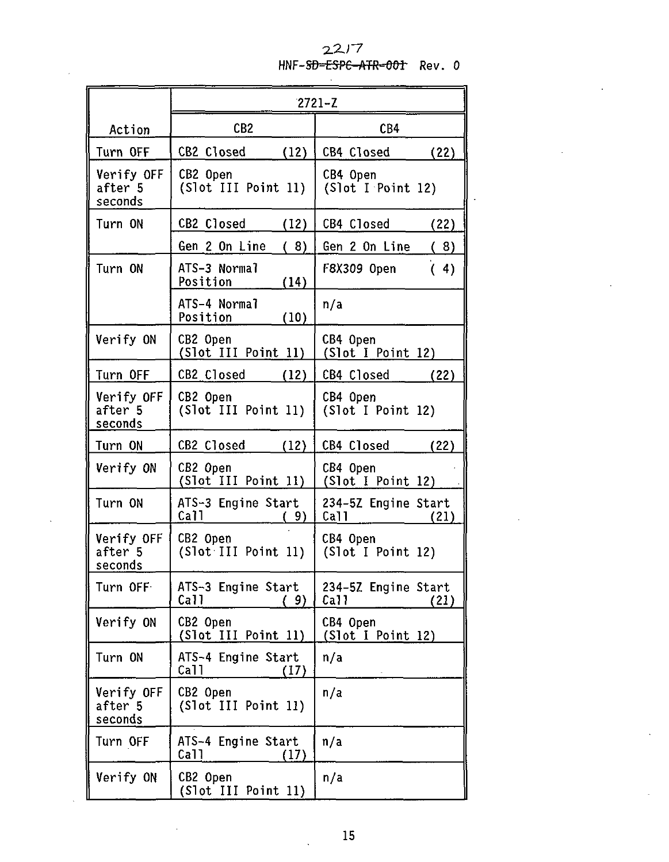### $22/7$ HNF-SD-ESPC-ATR-001 Rev. 0

|                                             | $2721 - Z$                                                                |                                                                         |  |
|---------------------------------------------|---------------------------------------------------------------------------|-------------------------------------------------------------------------|--|
| Action                                      | CB <sub>2</sub>                                                           | CB4                                                                     |  |
| Turn OFF                                    | CB2 Closed<br>(12)                                                        | CB4 Closed<br>(22)                                                      |  |
| Verify OFF<br>after <sup>5</sup><br>seconds | CB2 Open<br>(Slot III Point 11)                                           | CB4 Open<br>(Slot I Point 12)                                           |  |
| Turn ON                                     | CB2 Closed (12)                                                           | CB4 Closed<br>(22)                                                      |  |
|                                             | Gen 2 On Line<br>(8)                                                      | Gen 2 On Line<br>(8)                                                    |  |
| Turn ON                                     | ATS-3 Normal<br>Position<br>(14)                                          | (4)<br>F8X309 Open                                                      |  |
|                                             | ATS-4 Normal<br>(10)<br>Position_____                                     | n/a                                                                     |  |
| Verify ON                                   | CB2 Open<br>(Slot III Point 11)                                           | CB4 Open<br>(Slot I Point 12)                                           |  |
| Turn OFF                                    | CB2 Closed (12)                                                           | CB4 Closed<br>(22)                                                      |  |
| Verify OFF<br>after <sup>5</sup><br>seconds | CB2 Open<br>(Slot III Point 11)                                           | CB4 Open<br>(Slot I Point 12)                                           |  |
| Turn ON                                     | CB2 Closed (12)                                                           | CB4 Closed (22)                                                         |  |
| Verify ON                                   | CB2 Open<br>(Slot III Point 11)                                           | CB4 Open<br>(Slot I Point 12)                                           |  |
| Turn ON                                     | ATS-3 Engine Start<br>Call<br>(9)                                         | 234-5Z Engine Start<br>Call<br>(21)                                     |  |
| Verify OFF<br>after 5<br>seconds            | CB2 Open<br>(Slot III Point 11)                                           | CB4 Open<br>(Slot I Point 12)                                           |  |
| Turn OFF                                    | ATS-3 Engine Start<br>Call<br>(9)<br><u> De Carlos de Carlos de la Ca</u> | 234-5Z Engine Start<br>Call<br>(21)<br><u> 1989 - Andrew Marian III</u> |  |
| Verify ON                                   | CB2 Open<br>(Slot III Point 11)                                           | CB4 Open<br>(Slot I Point 12)                                           |  |
| Turn ON                                     | ATS-4 Engine Start<br>Call<br>(17)                                        | n/a                                                                     |  |
| Verify OFF<br>after 5<br>seconds            | CB2 Open<br>(Slot III Point 11)                                           | n/a                                                                     |  |
| Turn OFF                                    | ATS-4 Engine Start<br>Ca11<br>(17)                                        | n/a                                                                     |  |
| Verify ON                                   | CB2 Open<br>(Slot III Point 11)                                           | n/a                                                                     |  |

J.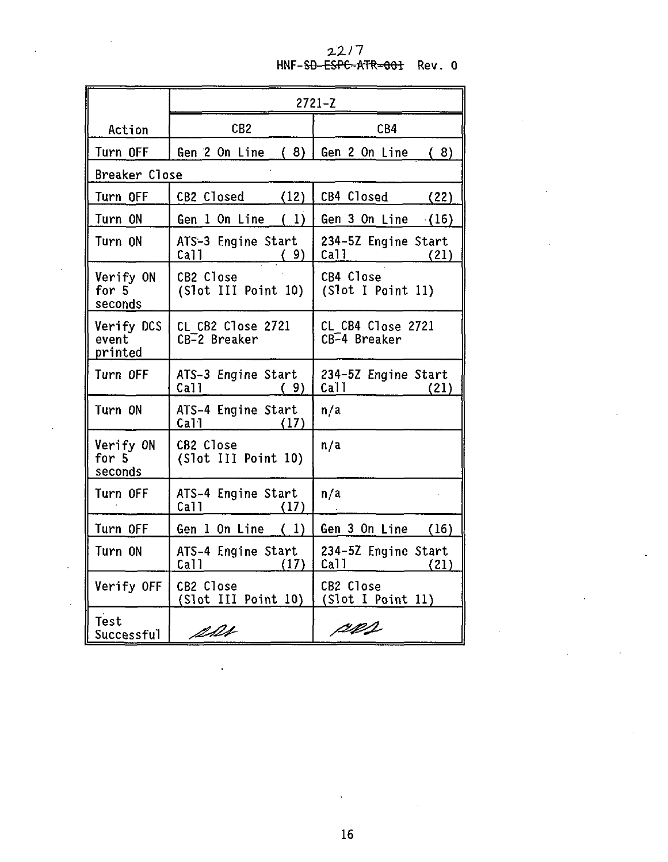# **2.2. n** HNF-S6-ESPC-ATR-001 Rev. 0

|                                | $2721 - Z$                                    |                                     |  |
|--------------------------------|-----------------------------------------------|-------------------------------------|--|
| Action                         | CB <sub>2</sub>                               | CB4                                 |  |
| Turn OFF                       | Gen $2$ On Line $(8)$                         | Gen 2 On Line<br>(8)                |  |
| Breaker Close                  |                                               |                                     |  |
| Turn OFF                       | CB2 Closed<br>(12)                            | CB4 Closed<br>(22)                  |  |
| Turn ON                        | Gen $1$ On Line $(1)$                         | Gen 3 On Line<br>(16)               |  |
| Turn ON                        | ATS-3 Engine Start<br>Call <b>Call</b><br>(9) | 234-5Z Engine Start<br>Call<br>(21) |  |
| Verify ON<br>for 5<br>seconds  | CB2 Close<br>(Slot III Point 10)              | CB4 Close<br>(Slot I Point 11)      |  |
| Verify DCS<br>event<br>printed | CL CB2 Close 2721<br>CB-2 Breaker             | CL CB4 Close 2721<br>CB-4 Breaker   |  |
| Turn OFF                       | ATS-3 Engine Start<br>Call<br>(9)             | 234-5Z Engine Start<br>Call<br>(21) |  |
| Turn ON                        | ATS-4 Engine Start<br>Call Ca<br>(17)         | n/a                                 |  |
| Verify ON<br>for 5<br>seconds  | CB2 Close<br>(Slot III Point 10)              | n/a                                 |  |
| Turn OFF                       | ATS-4 Engine Start<br>Call<br>(17)            | n/a                                 |  |
| Turn OFF                       | (1)<br>Gen 1 On Line                          | Gen 3 On Line<br>(16)               |  |
| Turn ON                        | ATS-4 Engine Start<br>Call<br>(17)            | 234-5Z Engine Start<br>Ca11<br>(21) |  |
| Verify OFF                     | CB2 Close<br>(Slot III Point 10)              | CB2 Close<br>(Slot I Point 11)      |  |
| Test<br>Successful             | pps                                           | ceas                                |  |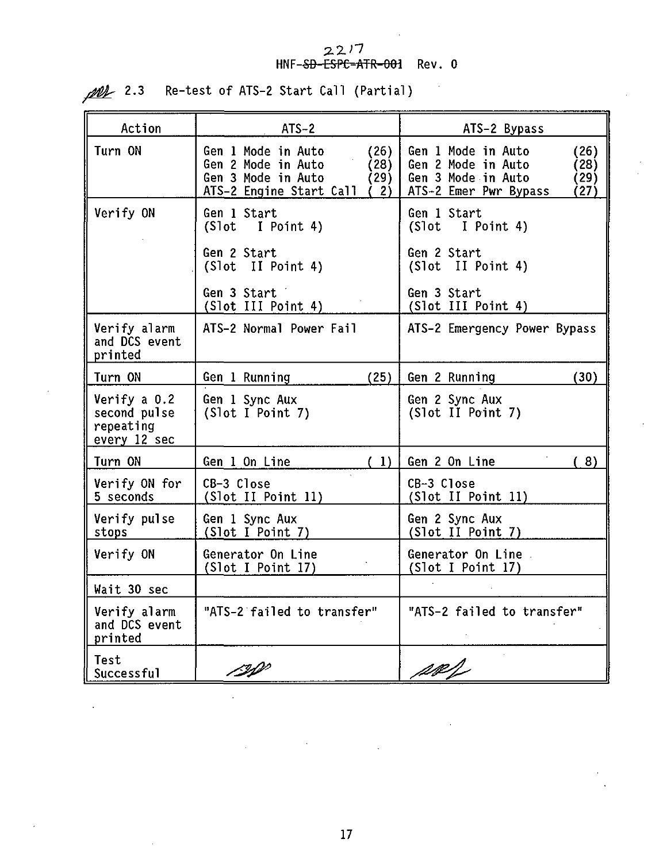#### **2.2.17 HNF--S&-CSPC-ATR-001 Rev. 0**

| Action                                                    | $ATS-2$                                                                                                                   | ATS-2 Bypass                                                                                                            |
|-----------------------------------------------------------|---------------------------------------------------------------------------------------------------------------------------|-------------------------------------------------------------------------------------------------------------------------|
| Turn ON                                                   | Gen 1 Mode in Auto<br>(26)<br>Gen 2 Mode in Auto<br>(28)<br>Gen 3 Mode in Auto<br>(29)<br>ATS-2 Engine Start Call<br>່ 2) | Gen 1 Mode in Auto<br>(26)<br>Gen 2 Mode in Auto<br>(28)<br>Gen 3 Mode in Auto<br>(29)<br>ATS-2 Emer Pwr Bypass<br>(27) |
| Verify ON                                                 | Gen 1 Start<br>(Slot I Point 4)                                                                                           | Gen 1 Start<br>(Slot I Point 4)                                                                                         |
|                                                           | Gen 2 Start<br>(Slot II Point 4)                                                                                          | Gen 2 Start<br>(Slot II Point 4)                                                                                        |
|                                                           | Gen 3 Start<br>(Slot III Point 4)                                                                                         | Gen 3 Start<br>(Slot III Point 4)                                                                                       |
| Verify alarm<br>and DCS event<br>printed                  | ATS-2 Normal Power Fail                                                                                                   | ATS-2 Emergency Power Bypass                                                                                            |
| Turn ON                                                   | (25)<br>Gen 1 Running                                                                                                     | Gen 2 Running<br>(30)                                                                                                   |
| Verify a 0.2<br>second pulse<br>repeating<br>every 12 sec | Gen 1 Sync Aux<br>(Slot I Point 7)                                                                                        | Gen 2 Sync Aux<br>(Slot II Point 7)                                                                                     |
| Turn ON                                                   | (1)<br>Gen 1 On Line                                                                                                      | Gen 2 On Line<br>(8)                                                                                                    |
| Verify ON for<br>5 seconds                                | CB-3 Close<br>(Slot II Point 11)                                                                                          | CB-3 Close<br>(Slot II Point 11)                                                                                        |
| Verify pulse<br>stops                                     | Gen 1 Sync Aux<br>(Slot I Point 7)                                                                                        | Gen 2 Sync Aux<br>(Slot II Point 7)                                                                                     |
| Verify ON                                                 | Generator On Line<br>(Slot I Point 17)                                                                                    | Generator On Line<br>(Slot I Point 17)                                                                                  |
| Wait 30 sec                                               |                                                                                                                           |                                                                                                                         |
| Verify alarm<br>and DCS event<br>printed                  | "ATS-2 failed to transfer"                                                                                                | "ATS-2 failed to transfer"                                                                                              |
| Test<br>Successful                                        | BP                                                                                                                        | ag).                                                                                                                    |

12.3 Re-test of ATS-2 Start Call (Partial)

l,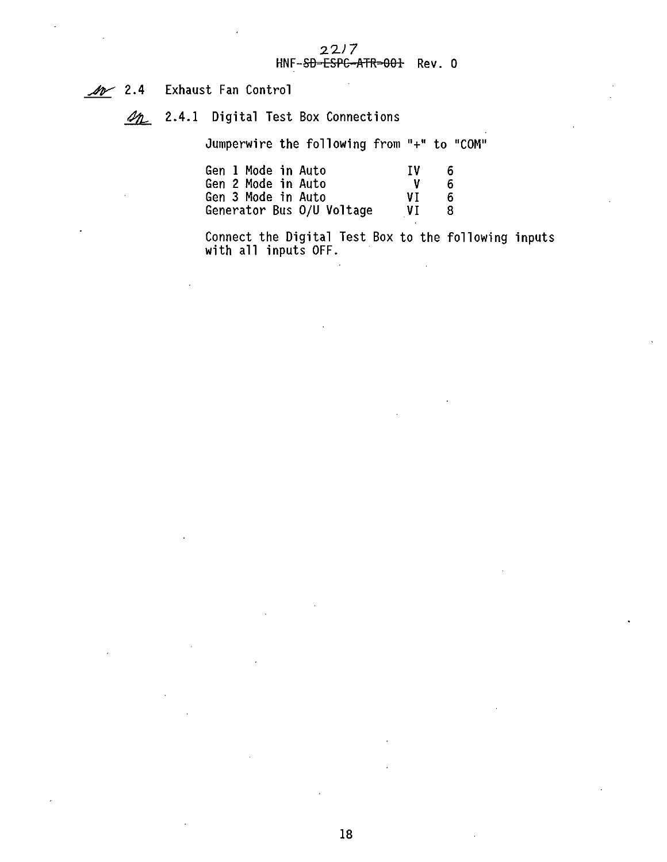2.4 Exhaust Fan Control

on 2.4.1 Digital Test Box Connections

Jumperwire the following from "+" to "COM"

| Gen 1 Mode in Auto        | TV | 6. |
|---------------------------|----|----|
| Gen 2 Mode in Auto        | v  | 6. |
| Gen 3 Mode in Auto        | VT | 6. |
| Generator Bus O/U Voltage | VT | 8. |

Connect the Digital Test Box to the following inputs with all inputs OFF.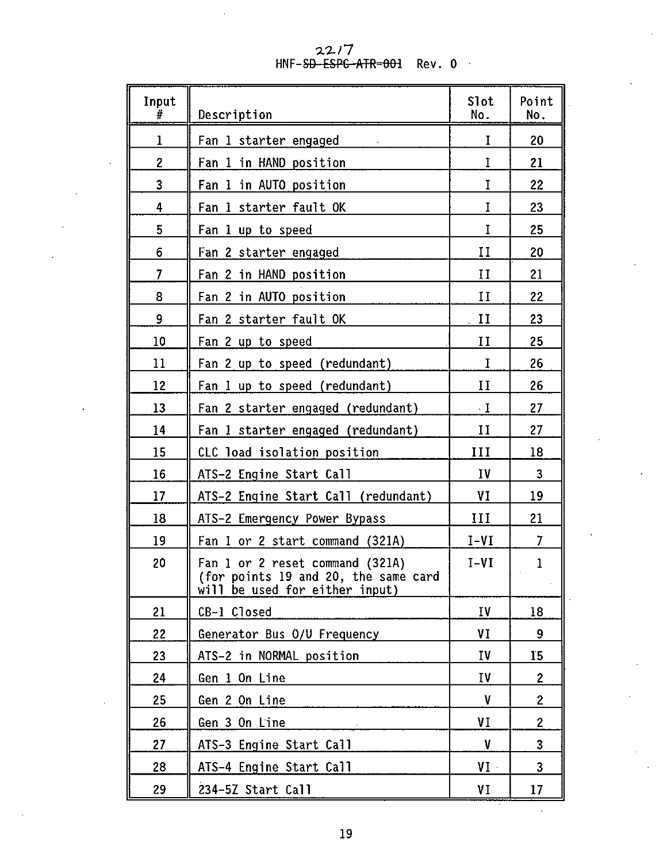22/7<br>HNF-<del>SD ESPC ATR=00</del>1 Rev.0

| Input<br>#     | Description                                                                                               | Slot<br>No. | Point<br>No.   |
|----------------|-----------------------------------------------------------------------------------------------------------|-------------|----------------|
| ı              | Fan 1 starter engaged                                                                                     | I           | 20             |
| $\overline{c}$ | Fan 1 in HAND position                                                                                    | I           | 21             |
| 3              | Fan 1 in AUTO position                                                                                    | I           | 22             |
| 4              | Fan 1 starter fault OK                                                                                    | I           | 23             |
| 5              | Fan 1 up to speed                                                                                         | Ĩ           | 25             |
| 6              | Fan 2 starter engaged                                                                                     | $_{\rm II}$ | 20             |
| $\overline{7}$ | Fan 2 in HAND position                                                                                    | П           | 21             |
| 8              | Fan 2 in AUTO position                                                                                    | $_{II}$     | 22             |
| 9              | Fan 2 starter fault OK                                                                                    | и           | 23             |
| 10             | Fan 2 up to speed                                                                                         | и           | 25             |
| 11             | Fan 2 up to speed (redundant)                                                                             | I           | 26             |
| 12             | Fan I up to speed (redundant)                                                                             | п           | 26             |
| 13             | Fan 2 starter engaged (redundant)                                                                         | $\cdot$ I   | 27             |
| 14             | Fan 1 starter engaged (redundant)                                                                         | и           | 27             |
| 15             | CLC load isolation position                                                                               | ш           | 18             |
| 16             | ATS-2 Engine Start Call                                                                                   | IV          | 3              |
| 17             | ATS-2 Engine Start Call (redundant)                                                                       | VI          | 19             |
| 18             | ATS-2 Emergency Power Bypass                                                                              | ш           | 21             |
| 19             | Fan I or 2 start command (321A)                                                                           | I-VI        | 7              |
| 20             | Fan 1 or 2 reset command (321A)<br>(for points 19 and 20, the same card<br>will be used for either input) | $I-VI$      | 1              |
| 21             | CB-1 Closed                                                                                               | ΙV          | 18             |
| 22             | Generator Bus 0/U Frequency                                                                               | ٧I          | 9              |
| 23             | ATS-2 in NORMAL position                                                                                  | IV          | 15             |
| 24             | Gen 1 On Line                                                                                             | I٧          | $\overline{c}$ |
| 25             | Gen 2 On Line                                                                                             | ν           | 2              |
| 26             | Gen 3 On Line                                                                                             | ٧I          | 2              |
| 27             | ATS-3 Engine Start Call                                                                                   | V           | 3              |
| 28             | ATS-4 Engine Start Call                                                                                   | VI ·        | 3              |
| 29             | 234-5Z Start Call                                                                                         | VI          | 17             |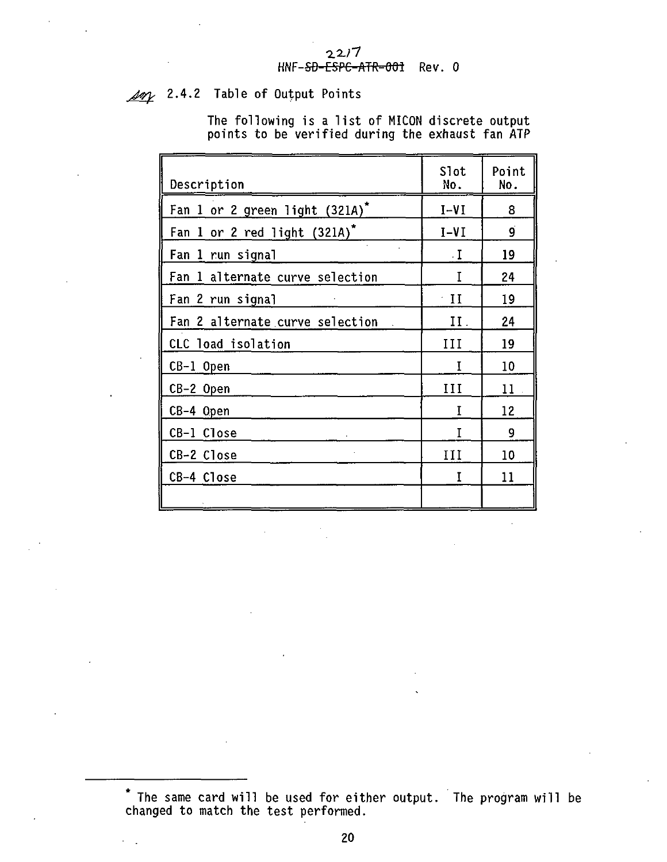#### **•2.2J7 HNF-SD-CSPC-ATR-Ofri Rev. 0**

**Joy 2.4.2 Table of Output Points**

**The following is a list of MICON discrete output points to be verified during the exhaust fan ATP**

| Description                         | Slot<br>No.  | Point<br>No. |
|-------------------------------------|--------------|--------------|
| Fan 1 or 2 green light $(321A)^{n}$ | $I-VI$       | 8            |
| Fan 1 or 2 red light (321A)*        | I-VI         | g            |
| Fan 1 run signal                    | ٠I           | 19           |
| Fan 1 alternate curve selection     |              | 24           |
| Fan 2 run signal                    | $^{\circ}$ H | 19           |
| Fan 2 alternate curve selection     | П.           | 24           |
| CLC load isolation                  | Ш            | 19           |
| CB-1 Open                           | Ī            | 10           |
| CB-2 Open                           | ш            | 11           |
| CB-4 Open                           | T            | 12           |
| CB-1 Close                          | T            | 9            |
| CB-2 Close                          | Ш            | 10           |
| CB-4 Close                          | τ            | $^{11}$      |
|                                     |              |              |

**The same card will be used for either output. The program will be changed to match the test performed.**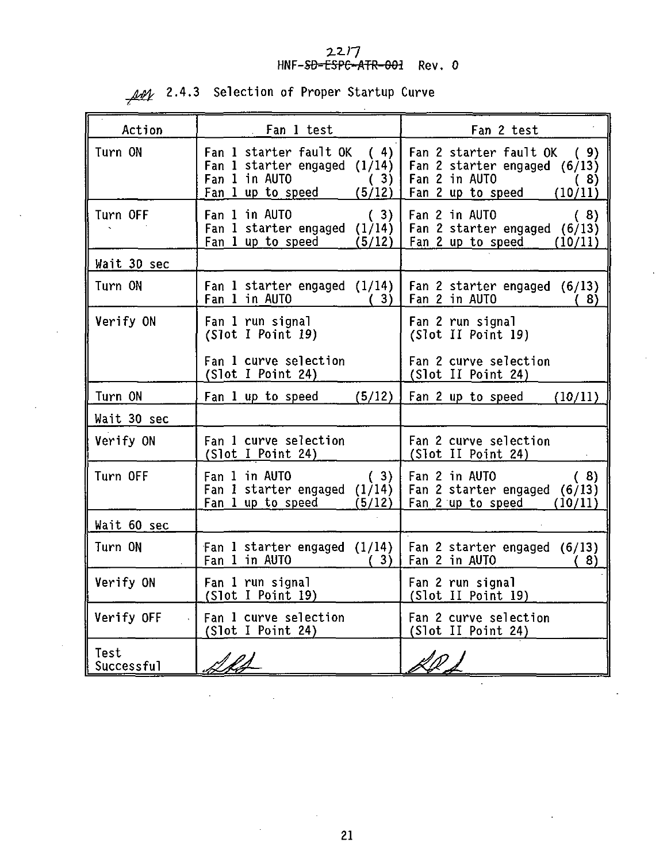# **2-2-/7 HNF-SO-CSPC-ATR-001 Rev. 0**

| Action             | . Fan 1 test                                                                                                        | Fan 2 test                                                                                                            |
|--------------------|---------------------------------------------------------------------------------------------------------------------|-----------------------------------------------------------------------------------------------------------------------|
| Turn ON            | Fan 1 starter fault OK (4)<br>Fan 1 starter engaged $(1/14)$<br>Fan 1 in AUTO<br>(3)<br>Fan 1 up to speed<br>(5/12) | Fan 2 starter fault OK<br>(9)<br>Fan 2 starter engaged (6/13)<br>Fan 2 in AUTO<br>(8)<br>Fan 2 up to speed<br>(10/11) |
| Turn OFF           | Fan 1 in AUTO<br>(3)<br>Fan 1 starter engaged (1/14)<br>Fan 1 up to speed<br>(5/12)                                 | Fan 2 in AUTO<br>(8)<br>Fan 2 starter engaged (6/13)<br>Fan 2 up to speed<br>(10/11)                                  |
| Wait 30 sec        |                                                                                                                     |                                                                                                                       |
| Turn ON            | Fan 1 starter engaged $(1/14)$<br>Fan 1 in AUTO<br>(3)                                                              | Fan 2 starter engaged (6/13)<br>Fan 2 in AUTO<br>(8)                                                                  |
| Verify ON          | Fan 1 run signal<br>(Slot I Point 19)                                                                               | Fan 2 run signal<br>(Slot II Point 19)                                                                                |
|                    | Fan 1 curve selection<br>(Slot I Point 24)                                                                          | Fan 2 curve selection<br>(Slot II Point 24)                                                                           |
| Turn ON            | (5/12)<br>Fan 1 up to speed                                                                                         | Fan 2 up to speed<br>(10/11)                                                                                          |
| Wait 30 sec        |                                                                                                                     |                                                                                                                       |
| Verify ON          | Fan 1 curve selection<br>(Slot I Point 24)                                                                          | Fan 2 curve selection<br>(Slot II Point 24)                                                                           |
| Turn OFF           | Fan 1 in AUTO<br>(3)<br>Fan 1 starter engaged (1/14)<br>Fan 1 up to speed<br>(5/12)                                 | Fan 2 in AUTO<br>(8)<br>Fan 2 starter engaged (6/13)<br>Fan 2 up to speed<br>(10/11)                                  |
| Wait 60 sec        |                                                                                                                     |                                                                                                                       |
| Turn ON            | Fan 1 starter engaged (1/14)<br>Fan 1 in AUTO<br>(3)                                                                | Fan 2 starter engaged (6/13)<br>Fan 2 in AUTO<br>8)                                                                   |
| Verify ON          | Fan 1 run signal<br>(Slot I Point 19)                                                                               | Fan 2 run signal<br>(Slot II Point 19)                                                                                |
| Verify OFF         | Fan 1 curve selection<br>(Slot I Point 24)                                                                          | Fan 2 curve selection<br>(Slot II Point 24)                                                                           |
| Test<br>Successful |                                                                                                                     |                                                                                                                       |

**2.4.3 Selection of Proper Startup Curve**

 $\ddot{\phantom{0}}$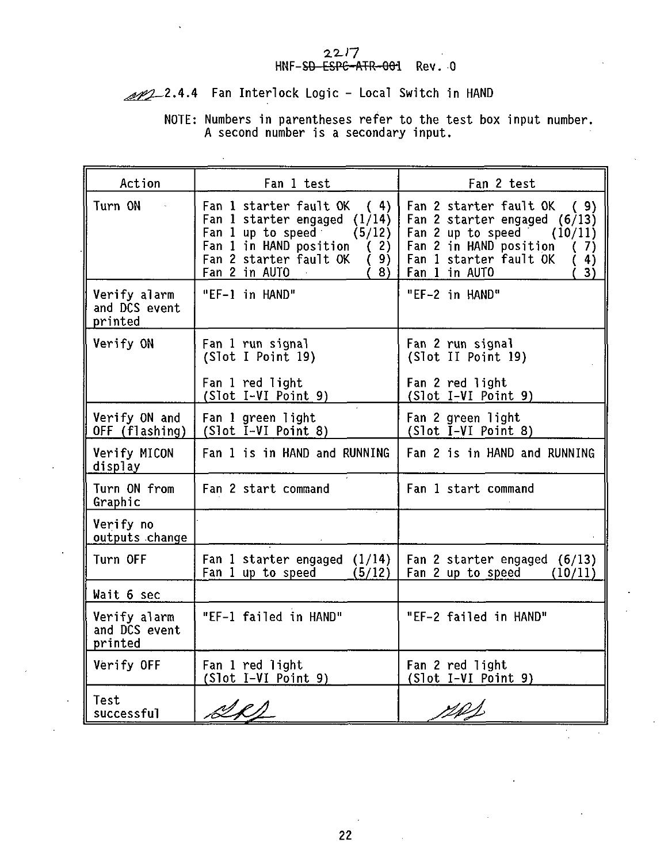#### 2217 HNF-SD ESPC-ATR-001 Rev. 0

## 1022.4.4 Fan Interlock Logic - Local Switch in HAND

## NOTE: Numbers in parentheses refer to the test box input number. A second number is a secondary input.

| Action                                   | Fan 1 test                                                                                                                                                                                  | Fan 2 test                                                                                                                                                                            |
|------------------------------------------|---------------------------------------------------------------------------------------------------------------------------------------------------------------------------------------------|---------------------------------------------------------------------------------------------------------------------------------------------------------------------------------------|
| Turn ON                                  | Fan 1 starter fault OK<br>(4)<br>Fan 1 starter engaged $(1/14)$<br>Fan 1 up to speed<br>(5/12)<br>Fan 1 in HAND position<br>(2)<br>Fan 2 starter fault OK<br>9)<br>€<br>Fan 2 in AUTO<br>8) | Fan 2 starter fault OK<br>(9)<br>Fan 2 starter engaged (6/13)<br>Fan 2 up to speed<br>(10/11)<br>Fan 2 in HAND position<br>(7)<br>Fan 1 starter fault OK<br>4)<br>Fan 1 in AUTO<br>3) |
| Verify alarm<br>and DCS event<br>printed | "EF-1 in HAND"                                                                                                                                                                              | "EF-2 in HAND"                                                                                                                                                                        |
| Verify ON                                | Fan 1 run signal<br>(Slot I Point 19)                                                                                                                                                       | Fan 2 run signal<br>(Slot II Point 19)                                                                                                                                                |
|                                          | Fan 1 red light<br>(Slot I-VI Point 9)                                                                                                                                                      | Fan 2 red light<br>(Slot I-VI Point 9)                                                                                                                                                |
| Verify ON and<br>OFF (flashing)          | Fan 1 green light<br>(Slot I-VI Point 8)                                                                                                                                                    | Fan 2 green light<br>(Slot I-VI Point 8)                                                                                                                                              |
| Verify MICON<br>display                  | Fan 1 is in HAND and RUNNING                                                                                                                                                                | Fan 2 is in HAND and RUNNING                                                                                                                                                          |
| Turn ON from<br>Graphic                  | Fan 2 start command                                                                                                                                                                         | Fan 1 start command                                                                                                                                                                   |
| Verify no<br>outputs change              |                                                                                                                                                                                             |                                                                                                                                                                                       |
| Turn OFF                                 | Fan 1 starter engaged<br>(1/14)<br>Fan 1 up to speed<br>(5/12)                                                                                                                              | Fan 2 starter engaged (6/13)<br>Fan 2 up to speed<br>(10/11)                                                                                                                          |
| Wait 6 sec                               |                                                                                                                                                                                             |                                                                                                                                                                                       |
| Verify alarm<br>and DCS event<br>printed | "EF-1 failed in HAND"                                                                                                                                                                       | "EF-2 failed in HAND"                                                                                                                                                                 |
| Verify OFF                               | Fan 1 red light<br>(Slot I-VI Point 9)                                                                                                                                                      | Fan 2 red light<br>(Slot I-VI Point 9)                                                                                                                                                |
| Test<br>successful                       |                                                                                                                                                                                             |                                                                                                                                                                                       |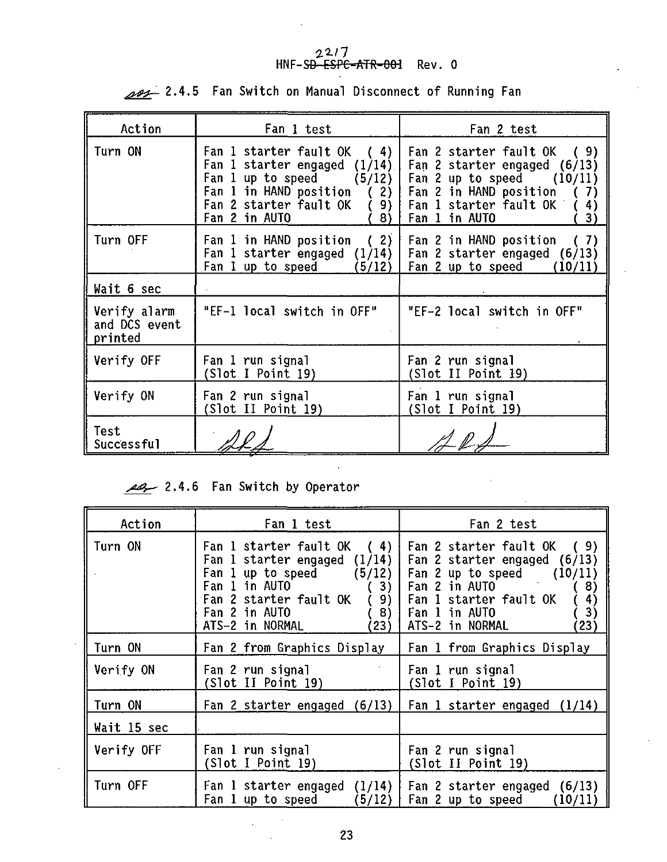# $22/7$ <br>HNF-S<del>D-ESPC-ATR-001</del> Rev. 0

| Action                                   | Fan 1 test                                                                               | Fan 2 test                                                                                                                                                                                                         |
|------------------------------------------|------------------------------------------------------------------------------------------|--------------------------------------------------------------------------------------------------------------------------------------------------------------------------------------------------------------------|
| Turn ON                                  | Fan 1 starter engaged $(1/14)$<br>Fan 1 in HAND position $(2)$<br>Fan 2 in AUTO<br>78) I | Fan 1 starter fault OK ( 4)   Fan 2 starter fault OK ( 9)<br>Fan 2 starter engaged (6/13)<br>Fan 1 up to speed $(5/12)$   Fan 2 up to speed $(10/11)$<br>Fan 2 in HAND position<br>7)<br>4)<br>Fan 1 in AUTO<br>3) |
| Turn OFF                                 | Fan 1 in HAND position (2) $\vert$<br>Fan 1 up to speed (5/12)   Fan 2 up to speed       | Fan 2 in HAND position (7)<br>Fan 1 starter engaged $(1/14)$   Fan 2 starter engaged (6/13)<br>(10/11)                                                                                                             |
| Wait 6 sec                               |                                                                                          |                                                                                                                                                                                                                    |
| Verify alarm<br>and DCS event<br>printed | "EF-1 local switch in OFF"                                                               | "EF-2 local switch in OFF"                                                                                                                                                                                         |
| Verify OFF                               | Fan 1 run signal<br>(Slot I Point 19)                                                    | Fan 2 run signal<br>(Slot II Point 19)                                                                                                                                                                             |
| Verify ON                                | Fan 2 run signal<br>(Slot II Point 19)                                                   | Fan 1 run signal<br>(Slot I Point 19)                                                                                                                                                                              |
| Test<br>Successful                       |                                                                                          |                                                                                                                                                                                                                    |

2.4.5 Fan Switch on Manual Disconnect of Running Fan

### 2.4.6 Fan Switch by Operator

| Action      | Fan 1 test                                                                                                                                                                                                | Fan 2 test                                                                                                                                                                                        |
|-------------|-----------------------------------------------------------------------------------------------------------------------------------------------------------------------------------------------------------|---------------------------------------------------------------------------------------------------------------------------------------------------------------------------------------------------|
| Turn ON     | Fan 1 starter fault $OK$ (4)<br>Fan 1 starter engaged $(1/14)$  <br>Fan 1 up to speed $(5/12)$  <br>Fan 1 in AUTO<br>3)<br>Fan 2 starter fault OK<br>9)<br>Fan 2 in AUTO<br>8)<br>ATS-2 in NORMAL<br>(23) | Fan 2 starter fault OK (9)<br>Fan 2 starter engaged (6/13)<br>Fan 2 up to speed $(10/11)$<br>Fan 2 in AUTO<br>8)<br>Fan 1 starter fault OK<br>4)<br>3)<br>Fan 1 in AUTO<br>ATS-2 in NORMAL<br>23) |
| Turn ON     | Fan 2 from Graphics Display                                                                                                                                                                               | Fan 1 from Graphics Display                                                                                                                                                                       |
| Verify ON   | Fan 2 run signal<br>(Slot II Point 19)                                                                                                                                                                    | Fan 1 run signal<br>(Slot I Point 19)                                                                                                                                                             |
| Turn ON     | Fan 2 starter engaged $(6/13)$                                                                                                                                                                            | Fan 1 starter engaged $(1/14)$                                                                                                                                                                    |
| Wait 15 sec |                                                                                                                                                                                                           |                                                                                                                                                                                                   |
| Verify OFF  | Fan 1 run signal<br>(Slot I Point 19)                                                                                                                                                                     | Fan 2 run signal<br>(Slot II Point 19)                                                                                                                                                            |
| Turn OFF    | Fan 1 starter engaged $(1/14)$  <br>Fan 1 up to speed                                                                                                                                                     | Fan 2 starter engaged (6/13)<br>$(5/12)$   Fan 2 up to speed<br>(10/11)                                                                                                                           |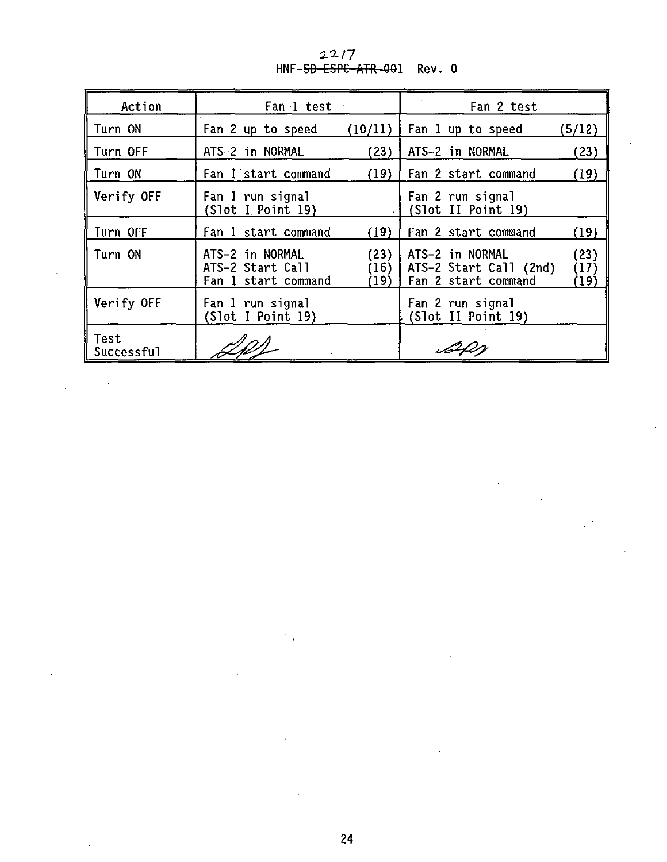| Action             | Fan 1 test                                                 |                      | Fan 2 test                                                                               |  |
|--------------------|------------------------------------------------------------|----------------------|------------------------------------------------------------------------------------------|--|
| Turn ON            | Fan 2 up to speed                                          | (10/11)              | Fan 1 up to speed<br>(5/12)                                                              |  |
| Turn OFF           | ATS-2 in NORMAL                                            | (23)                 | ATS-2 in NORMAL<br>(23)                                                                  |  |
| Turn ON            | Fan 1 start command                                        | (19)                 | (19)<br>Fan 2 start command                                                              |  |
| Verify OFF         | Fan 1 run signal<br>(Slot I. Point I9)                     |                      | Fan 2 run signal<br>(Slot II Point 19)                                                   |  |
| Turn OFF           | Fan 1 start command                                        | (19)                 | Fan 2 start command<br>(19)                                                              |  |
| Turn ON            | ATS-2 in NORMAL<br>ATS-2 Start Call<br>Fan 1 start command | (23)<br>(16)<br>(19) | ATS-2 in NORMAL<br>(23)<br>ATS-2 Start Call (2nd)<br>(17)<br>Fan 2 start command<br>(19) |  |
| Verify OFF         | Fan 1 run signal<br>(Slot I Point I9)                      |                      | Fan 2 run signal<br>(Slot II Point 19)                                                   |  |
| Test<br>Successful |                                                            |                      |                                                                                          |  |

 $22/7$ <br>HNF-<del>SD-ESPC-ATR-00</del>1 Rev. 0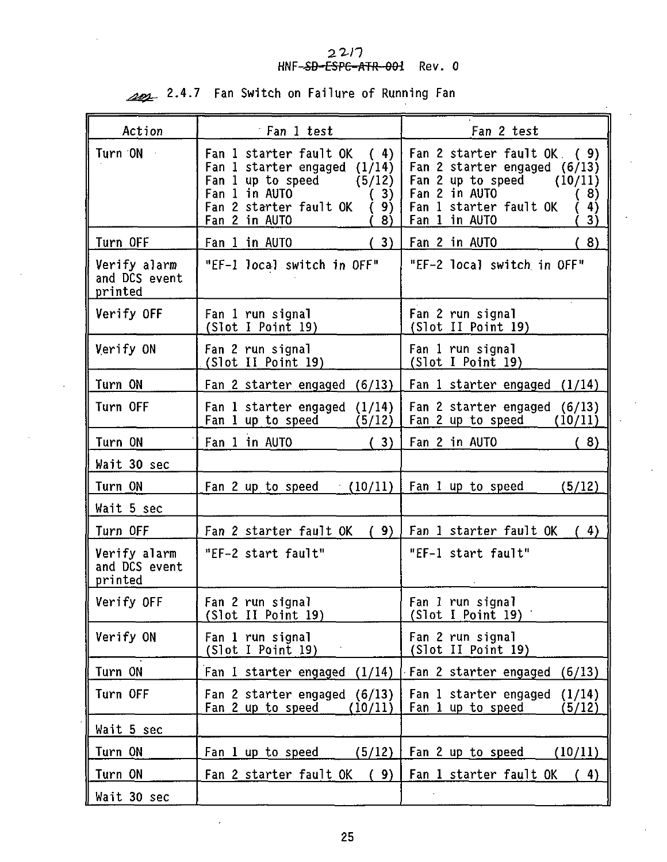# 22/7<br>**HNF-<del>SD-ESPC-ATR-001</del> Rev. 0**

| Action                                   | Fan 1 test                                                                                                                                                                  | Fan 2 test                                                                                                                                                                    |
|------------------------------------------|-----------------------------------------------------------------------------------------------------------------------------------------------------------------------------|-------------------------------------------------------------------------------------------------------------------------------------------------------------------------------|
| Turn ON                                  | Fan 1 starter fault OK<br>(4)<br>Fan 1 starter engaged (1/14)<br>Fan 1 up to speed<br>(5/12)<br>Fan 1 in AUTO<br>(3)<br>Fan 2 starter fault OK<br>9)<br>Fan 2 in AUTO<br>8) | Fan 2 starter fault OK.<br>(9)<br>Fan 2 starter engaged (6/13)<br>Fan 2 up to speed $(10/11)$<br>Fan 2 in AUTO<br>(8)<br>Fan 1 starter fault OK<br>(4)<br>Fan 1 in AUTO<br>3) |
| Turn OFF                                 | Fan 1 in AUTO<br>(3)                                                                                                                                                        | (8)<br>Fan 2 in AUTO                                                                                                                                                          |
| Verify alarm<br>and DCS event<br>printed | "EF-1 local switch in OFF"                                                                                                                                                  | "EF-2 local switch in OFF"                                                                                                                                                    |
| Verify OFF                               | Fan 1 run signal<br>(Slot I Point 19)                                                                                                                                       | Fan 2 run signal<br>(Slot II Point 19)                                                                                                                                        |
| Verify ON                                | Fan 2 run signal<br>(Slot II Point 19)                                                                                                                                      | Fan 1 run signal<br>(Slot I Point 19)                                                                                                                                         |
| Turn ON                                  | Fan 2 starter engaged (6/13)                                                                                                                                                | Fan 1 starter engaged (1/14)                                                                                                                                                  |
| Turn OFF                                 | Fan 1 starter engaged (1/14)<br>Fan 1 up to speed<br>(5/12)                                                                                                                 | Fan 2 starter engaged (6/13)<br>Fan 2 up to speed<br>(10/11)                                                                                                                  |
| Turn ON                                  | Fan 1 in AUTO<br>(3)                                                                                                                                                        | Fan 2 in AUTO<br>(8)                                                                                                                                                          |
| Wait 30 sec                              |                                                                                                                                                                             |                                                                                                                                                                               |
| Turn ON                                  | Fan 2 up to speed $(10/11)$                                                                                                                                                 | Fan 1 up to speed<br>(5/12)                                                                                                                                                   |
| Wait 5 sec                               |                                                                                                                                                                             |                                                                                                                                                                               |
| Turn OFF                                 | Fan 2 starter fault OK (9)                                                                                                                                                  | Fan 1 starter fault OK<br>(4)                                                                                                                                                 |
| Verify alarm<br>and DCS event<br>printed | "EF-2 start fault"                                                                                                                                                          | "EF-1 start fault"                                                                                                                                                            |
| Verify OFF                               | Fan 2 run signal<br>(Slot II Point 19)                                                                                                                                      | Fan 1 run signal<br>(Slot I Point 19)                                                                                                                                         |
| Verify ON                                | Fan 1 run signal<br>(Slot I Point 19)                                                                                                                                       | Fan 2 run signal<br>(Slot II Point 19)                                                                                                                                        |
| Turn ON                                  | Fan 1 starter engaged (1/14)                                                                                                                                                | Fan 2 starter engaged<br>(6/13)                                                                                                                                               |
| Turn OFF                                 | Fan 2 starter engaged (6/13)<br>Fan 2 up to speed<br>(10/11)                                                                                                                | Fan 1 starter engaged<br>(1/14)<br>Fan 1 up to speed<br>(5/12)                                                                                                                |
| Wait 5 sec                               |                                                                                                                                                                             |                                                                                                                                                                               |
| Turn ON                                  | Fan 1 up to speed $(5/12)$                                                                                                                                                  | Fan 2 up to speed<br>(10/11)                                                                                                                                                  |
| Turn ON                                  | (9)<br>Fan 2 starter fault OK                                                                                                                                               | Fan 1 starter fault OK<br>(4)                                                                                                                                                 |
| Wait 30 sec                              |                                                                                                                                                                             |                                                                                                                                                                               |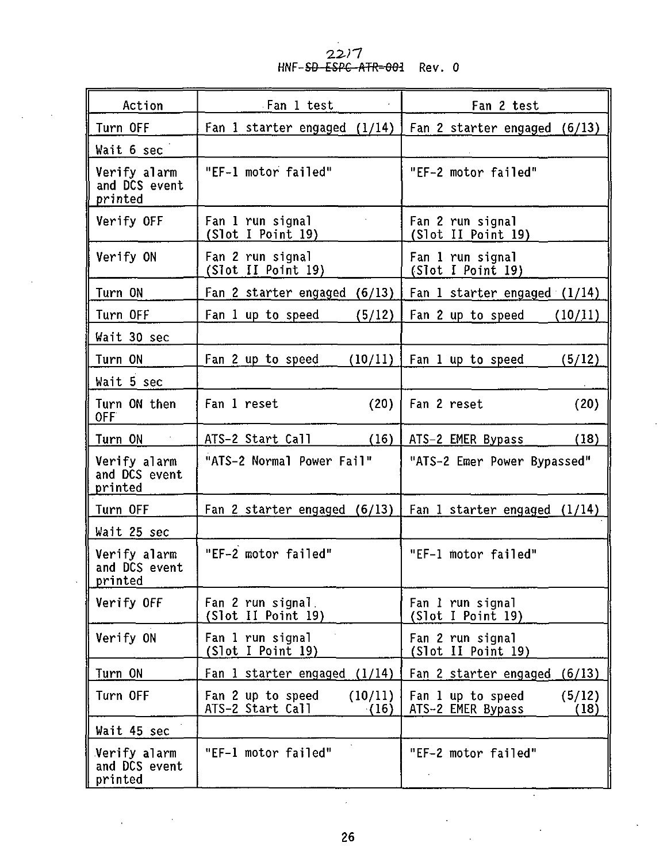# 22//<br>HNF-<del>SD-ESPC-ATR-001</del> Rev. 0

| Action                                   | Fan 1 test                                               | Fan 2 test                                               |  |
|------------------------------------------|----------------------------------------------------------|----------------------------------------------------------|--|
| Turn OFF                                 | Fan 1 starter engaged (1/14)                             | Fan 2 starter engaged (6/13)                             |  |
| Wait 6 sec                               |                                                          |                                                          |  |
| Verify alarm<br>and DCS event<br>printed | "EF-1 motor failed"                                      | "EF-2 motor failed"                                      |  |
| Verify OFF                               | Fan 1 run signal<br>(Slot I Point 19)                    | Fan 2 run signal<br>(Slot II Point 19)                   |  |
| Verify ON                                | Fan 2 run signal<br>(Slot II Point 19)                   | Fan 1 run signal<br>(Slot I Point 19)                    |  |
| Turn ON                                  | Fan 2 starter engaged (6/13)                             | Fan 1 starter engaged (1/14)                             |  |
| Turn OFF                                 | Fan 1 up to speed<br>(5/12)                              | Fan 2 up to speed<br>(10/11)                             |  |
| Wait 30 sec                              |                                                          |                                                          |  |
| Turn ON                                  | Fan 2 up to speed<br>(10/11)                             | Fan 1 up to speed<br>(5/12)                              |  |
| Wait 5 sec                               |                                                          |                                                          |  |
| Turn ON then<br>OFF                      | Fan 1 reset<br>(20)                                      | Fan 2 reset<br>(20)                                      |  |
| Turn ON                                  | ATS-2 Start Call<br>(16)                                 | ATS-2 EMER Bypass<br>(18)                                |  |
| Verify alarm<br>and DCS event<br>printed | "ATS-2 Normal Power Fail"                                | "ATS-2 Emer Power Bypassed"                              |  |
| Turn OFF                                 | Fan 2 starter engaged (6/13)                             | Fan 1 starter engaged (1/14)                             |  |
| Wait 25 sec                              |                                                          |                                                          |  |
| Verify alarm<br>and DCS event<br>printed | "EF-2 motor failed"                                      | "EF-1 motor failed"                                      |  |
| Verify OFF                               | Fan 2 run signal.<br>(Slot II Point 19)                  | Fan 1 run signal<br>(Slot I Point 19)                    |  |
| Verify ON                                | Fan 1 run signal<br>(Slot I Point 19)                    | Fan 2 run signal<br>(Slot II Point 19)                   |  |
| Turn ON                                  | Fan 1 starter engaged $(1/14)$                           | Fan 2 starter engaged (6/13)                             |  |
| Turn OFF                                 | Fan 2 up to speed<br>(10/11)<br>ATS-2 Start Call<br>(16) | Fan 1 up to speed<br>(5/12)<br>ATS-2 EMER Bypass<br>(18) |  |
| Wait 45 sec                              |                                                          |                                                          |  |
| Verify alarm<br>and DCS event<br>printed | "EF-1 motor failed"                                      | "EF-2 motor failed"                                      |  |

l,

 $\hat{\boldsymbol{\gamma}}$ 

÷.

t,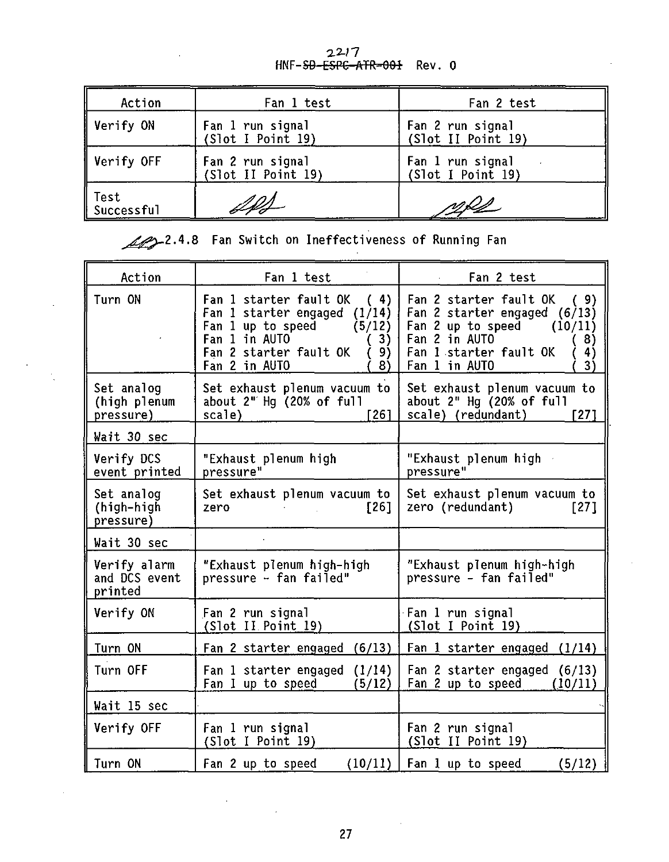| Action             | Fan 1 test                             | Fan 2 test                             |
|--------------------|----------------------------------------|----------------------------------------|
| Verify ON          | Fan 1 run signal<br>(Slot I Point 19)  | Fan 2 run signal<br>(Slot II Point 19) |
| Verify OFF         | Fan 2 run signal<br>(Slot II Point 19) | Fan 1 run signal<br>(Slot I Point 19)  |
| Test<br>Successful | 12f2                                   | <u>ngls</u>                            |

22277<br>HNF-<del>SD-ESPC-ATR-001</del> Rev.0

2.4.8 Fan Switch on Ineffectiveness of Running Fan

| Action                                   | Fan 1 test                                                                                                                                                                | Fan 2 test                                                                                                                                                                  |
|------------------------------------------|---------------------------------------------------------------------------------------------------------------------------------------------------------------------------|-----------------------------------------------------------------------------------------------------------------------------------------------------------------------------|
| Turn ON                                  | Fan 1 starter fault OK<br>(4)<br>Fan 1 starter engaged (1/14)<br>Fan 1 up to speed $(5/12)$<br>Fan 1 in AUTO<br>3)<br>Fan 2 starter fault OK<br>9)<br>8)<br>Fan 2 in AUTO | Fan 2 starter fault OK<br>(9)<br>Fan 2 starter engaged (6/13)<br>Fan 2 up to speed $(10/11)$<br>Fan 2 in AUTO<br>(8)<br>Fan 1 starter fault OK<br>4)<br>Fan 1 in AUTO<br>3) |
| Set analoq<br>(high plenum<br>pressure)  | Set exhaust plenum vacuum to<br>about 2" Hq (20% of full<br>scale)<br>r 26 1                                                                                              | Set exhaust plenum vacuum to<br>about 2" Hq (20% of full<br>scale) (redundant)<br><b>1271</b>                                                                               |
| Wait 30 sec                              |                                                                                                                                                                           |                                                                                                                                                                             |
| Verify DCS<br>event printed              | "Exhaust plenum high<br>pressure"                                                                                                                                         | "Exhaust plenum high -<br>pressure"                                                                                                                                         |
| Set analog<br>(high-high<br>pressure)    | Set exhaust plenum vacuum to<br>1261<br>zero                                                                                                                              | Set exhaust plenum vacuum to<br>zero (redundant)<br>$[27]$                                                                                                                  |
| Wait 30 sec                              |                                                                                                                                                                           |                                                                                                                                                                             |
| Verify alarm<br>and DCS event<br>printed | "Exhaust plenum high-high<br>pressure - fan failed"                                                                                                                       | "Exhaust plenum high-high<br>pressure - fan failed"                                                                                                                         |
| Verify ON                                | Fan 2 run signal<br>(Slot II Point 19)                                                                                                                                    | Fan 1 run signal<br>(Slot I Point 19)                                                                                                                                       |
| Turn ON                                  | Fan 2 starter engaged (6/13)                                                                                                                                              | Fan 1 starter engaged (1/14)                                                                                                                                                |
| Turn OFF                                 | Fan 1 starter engaged $(1/14)$<br>Fan 1 up to speed<br>(5/12)                                                                                                             | Fan 2 starter engaged (6/13)<br>Fan 2 up to speed<br>(10/11)                                                                                                                |
| Wait 15 sec                              |                                                                                                                                                                           |                                                                                                                                                                             |
| Verify OFF                               | Fan 1 run signal<br>(Slot I Point 19)                                                                                                                                     | Fan 2 run signal<br>(Slot II Point 19)                                                                                                                                      |
| Turn ON                                  | (10/11)<br>Fan 2 up to speed                                                                                                                                              | (5/12)<br>Fan 1 up to speed                                                                                                                                                 |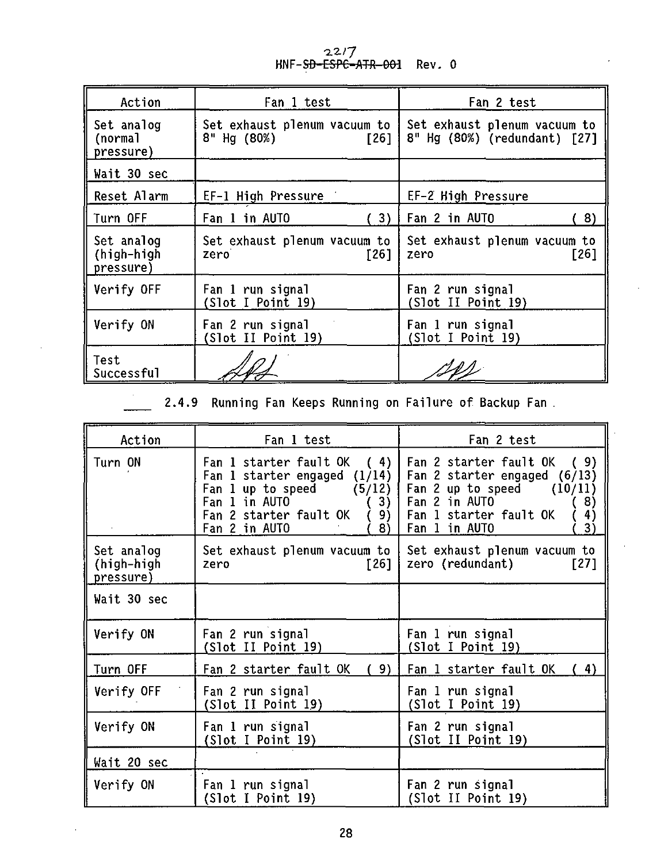22/7<br>**HNF-S<del>D-ESPC-ATR-001</del> Rev. 0** 

| Action                                | Fan 1 test                                          | Fan 2 test                                                   |  |  |
|---------------------------------------|-----------------------------------------------------|--------------------------------------------------------------|--|--|
| Set analog<br>(normal<br>pressure)    | Set exhaust plenum vacuum to<br>8" Hg (80%)<br>[26] | Set exhaust plenum vacuum to<br>8" Hg (80%) (redundant) [27] |  |  |
| Wait 30 sec                           |                                                     |                                                              |  |  |
| Reset Alarm                           | EF-1 High Pressure                                  | EF-2 High Pressure                                           |  |  |
| Turn OFF                              | 3)<br>Fan 1 in AUTO                                 | Fan 2 in AUTO<br>8)                                          |  |  |
| Set analog<br>(high-high<br>pressure) | Set exhaust plenum vacuum to<br>[26]<br>zero        | Set exhaust plenum vacuum to<br>[26]<br>zero                 |  |  |
| Verify OFF                            | Fan 1 run signal<br>(Slot I Point 19)               | Fan 2 run signal<br>(Slot II Point 19)                       |  |  |
| Verify ON                             | Fan 2 run signal<br>(Slot II Point 19)              | Fan 1 run signal<br>(Slot I Point 19)                        |  |  |
| Test<br>Successful                    |                                                     |                                                              |  |  |

 $\frac{1}{\sqrt{2}}$ **2.4.9 Running Fan Keeps Running on Failure of Backup Fan**

| Action                                | Fan 1 test                                                                                                                                                               | Fan 2 test                                                                                                                                                              |
|---------------------------------------|--------------------------------------------------------------------------------------------------------------------------------------------------------------------------|-------------------------------------------------------------------------------------------------------------------------------------------------------------------------|
| Turn ON                               | Fan 1 starter fault OK (4)<br>Fan 1 starter engaged (1/14)<br>Fan 1 up to speed $(5/12)$  <br>Fan 1 in AUTO<br>3)<br>Fan 2 starter fault OK<br>9)<br>Fan 2 in AUTO<br>8) | Fan 2 starter fault OK (9)<br>Fan 2 starter engaged (6/13)<br>Fan 2 up to speed $(10/11)$<br>Fan 2 in AUTO<br>8)<br>Fan 1 starter fault OK<br>4)<br>3)<br>Fan 1 in AUTO |
| Set analog<br>(high-high<br>pressure) | Set exhaust plenum vacuum to  <br>[26]<br>zero                                                                                                                           | Set exhaust plenum vacuum to<br>zero (redundant)<br>$[27]$                                                                                                              |
| Wait 30 sec                           |                                                                                                                                                                          |                                                                                                                                                                         |
| Verify ON                             | Fan 2 run signal<br>(Slot II Point 19)                                                                                                                                   | Fan 1 run signal<br>(Slot I Point 19)                                                                                                                                   |
| Turn OFF                              | Fan 2 starter fault OK<br>9)                                                                                                                                             | Fan 1 starter fault OK<br>4)                                                                                                                                            |
| Verify OFF                            | Fan 2 run signal<br>(Slot II Point 19)                                                                                                                                   | Fan 1 run signal<br>(Slot I Point 19)                                                                                                                                   |
| Verify ON                             | Fan 1 run signal<br>(Slot I Point 19)                                                                                                                                    | Fan 2 run signal<br>(Slot II Point 19)                                                                                                                                  |
| Wait 20 sec                           |                                                                                                                                                                          |                                                                                                                                                                         |
| Verify ON                             | Fan 1 run signal<br>(Slot I Point 19)                                                                                                                                    | Fan 2 run signal<br>(Slot II Point 19)                                                                                                                                  |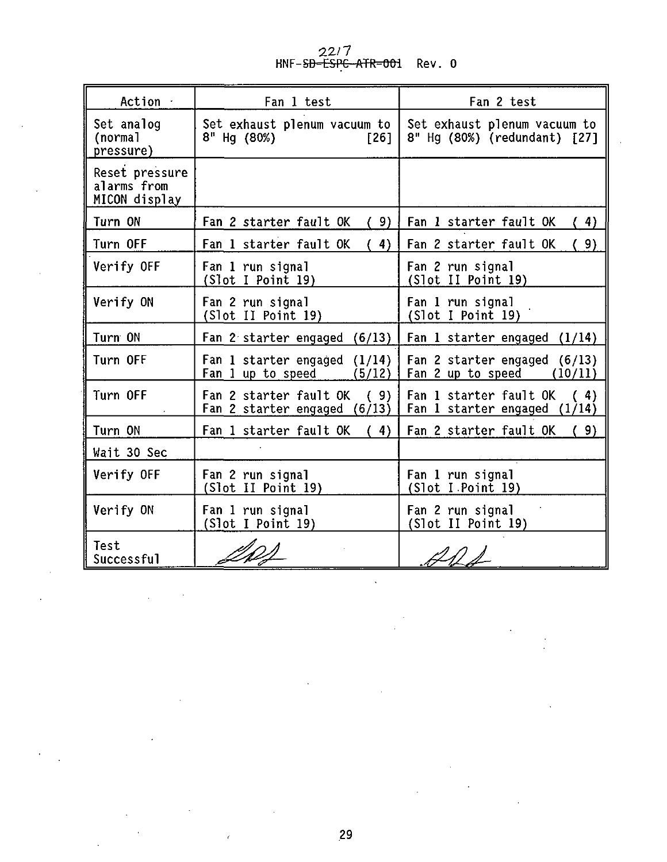22//<br><del>ESPC ATR=001</del> Rev. 0

| Action ·                                       | Fan 1 test                                                    | Fan 2 test                                                    |  |  |
|------------------------------------------------|---------------------------------------------------------------|---------------------------------------------------------------|--|--|
| Set analog<br>(normal<br>pressure)             | Set exhaust plenum vacuum to<br>8" Hg (80%)<br>[26]           | Set exhaust plenum vacuum to<br>8" Hg (80%) (redundant) [27]  |  |  |
| Reset pressure<br>alarms from<br>MICON display |                                                               |                                                               |  |  |
| Turn ON                                        | Fan 2 starter fault OK<br>(9)                                 | Fan 1 starter fault OK<br>4)                                  |  |  |
| Turn OFF                                       | 4)<br>Fan 1 starter fault OK                                  | 9)<br>Fan 2 starter fault OK                                  |  |  |
| Verify OFF                                     | Fan 1 run signal<br>(Slot I Point 19)                         | Fan 2 run signal<br>(Slot II Point 19)                        |  |  |
| Verify ON                                      | Fan 2 run signal<br>(Slot II Point 19)                        | Fan 1 run signal<br>(Slot I Point 19)                         |  |  |
| Turn ON                                        | Fan 2 starter engaged $(6/13)$                                | Fan 1 starter engaged $(1/14)$                                |  |  |
| Turn OFF                                       | Fan 1 starter engaged $(1/14)$<br>Fan 1 up to speed<br>(5/12) | Fan 2 starter engaged (6/13)<br>Fan 2 up to speed<br>(10/11)  |  |  |
| Turn OFF                                       | Fan 2 starter fault OK<br>(9)<br>Fan 2 starter engaged (6/13) | Fan 1 starter fault OK<br>(4)<br>Fan 1 starter engaged (1/14) |  |  |
| Turn ON                                        | (4)<br>Fan 1 starter fault OK                                 | Fan 2 starter fault OK<br>9)                                  |  |  |
| Wait 30 Sec                                    |                                                               |                                                               |  |  |
| Verify OFF                                     | Fan 2 run signal<br>(Slot II Point 19)                        | Fan 1 run signal<br>(Slot I Point 19)                         |  |  |
| Verify ON                                      | Fan 1 run signal<br>(Slot I Point 19)                         | Fan 2 run signal<br>(Slot II Point 19)                        |  |  |
| Test<br>Successful                             |                                                               |                                                               |  |  |

 $\ddot{\phantom{0}}$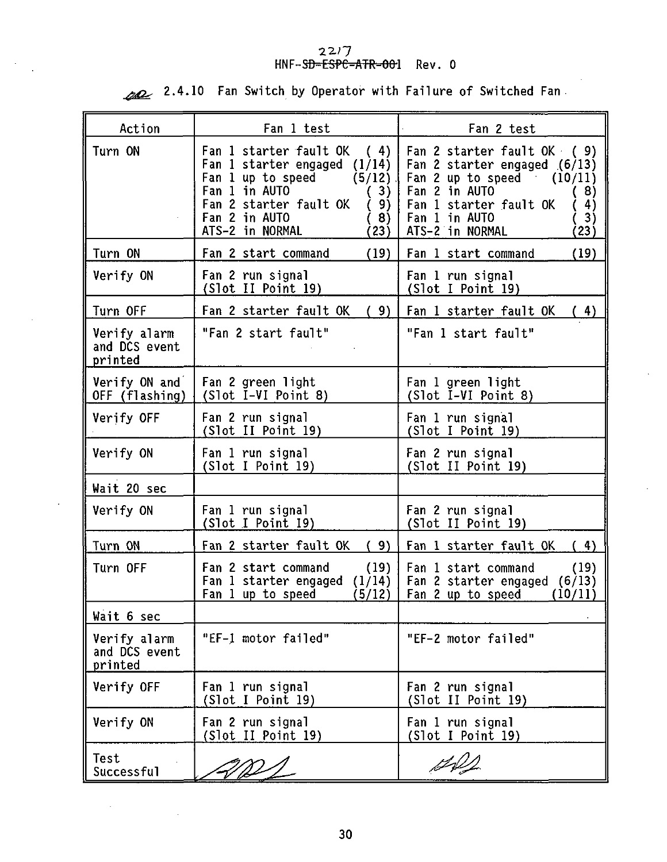# **HNF-SD-ESPC-ATR-001 Rev. 0**

**2.4.10 Fan Switch by Operator with Failure of Switched Fan**

 $\ddot{\phantom{a}}$ 

| Action                                   | Fan 1 test                                                                                                                                                                                                 | Fan 2 test                                                                                                                                                                                        |
|------------------------------------------|------------------------------------------------------------------------------------------------------------------------------------------------------------------------------------------------------------|---------------------------------------------------------------------------------------------------------------------------------------------------------------------------------------------------|
| Turn ON                                  | Fan 1 starter fault OK<br>(4)<br>Fan 1 starter engaged $(1/14)$<br>Fan 1 up to speed<br>(5/12)<br>Fan 1 in AUTO<br>(3)<br>Fan 2 starter fault OK<br>(9)<br>Fan 2 in AUTO<br>(8)<br>ATS-2 in NORMAL<br>(23) | Fan 2 starter fault OK (9)<br>Fan 2 starter engaged (6/13)<br>Fan 2 up to speed $(10/11)$<br>Fan 2 in AUTO<br>8)<br>Fan 1 starter fault OK<br>4)<br>Fan 1 in AUTO<br>3)<br>ATS-2 in NORMAL<br>23) |
| Turn ON                                  | Fan 2 start command<br>(19)                                                                                                                                                                                | Fan 1 start command<br>(19)                                                                                                                                                                       |
| Verify ON                                | Fan 2 run signal<br>(Slot II Point 19)                                                                                                                                                                     | Fan 1 run signal<br>(Slot I Point 19)                                                                                                                                                             |
| Turn OFF                                 | Fan 2 starter fault OK (9)                                                                                                                                                                                 | Fan 1 starter fault OK (4)                                                                                                                                                                        |
| Verify alarm<br>and DCS event<br>printed | "Fan 2 start fault"                                                                                                                                                                                        | "Fan 1 start fault"                                                                                                                                                                               |
| Verify ON and<br>OFF (flashing)          | Fan 2 green light<br>$(Slot I-VI Point 8)$                                                                                                                                                                 | Fan 1 green light<br>(Slot I-VI Point 8)                                                                                                                                                          |
| Verify OFF                               | Fan 2 run signal<br>(Slot II Point 19)                                                                                                                                                                     | Fan 1 run signal<br>(Slot I Point 19)                                                                                                                                                             |
| Verify ON                                | Fan 1 run signal<br>(Slot I Point 19)                                                                                                                                                                      | Fan 2 run signal<br>(Slot II Point 19)                                                                                                                                                            |
| Wait 20 sec                              |                                                                                                                                                                                                            |                                                                                                                                                                                                   |
| Verify ON                                | Fan 1 run signal<br>(Slot I Point I9)                                                                                                                                                                      | Fan 2 run signal<br>(Slot II Point 19)                                                                                                                                                            |
| Turn ON                                  | Fan 2 starter fault OK (9)                                                                                                                                                                                 | Fan 1 starter fault OK<br>4)<br>€                                                                                                                                                                 |
| Turn OFF                                 | Fan 2 start command<br>(19)<br>Fan 1 starter engaged<br>(1/14)<br>Fan 1 up to speed<br>(5/12)                                                                                                              | Fan 1 start command<br>(19)<br>Fan 2 starter engaged $(6/13)$<br>Fan 2 up to speed<br>(10/11)                                                                                                     |
| Wait 6 sec                               |                                                                                                                                                                                                            |                                                                                                                                                                                                   |
| Verify alarm<br>and DCS event<br>printed | "EF-1 motor failed"                                                                                                                                                                                        | "EF-2 motor failed"                                                                                                                                                                               |
| Verify OFF                               | Fan 1 run signal<br>(Slot I Point 19)                                                                                                                                                                      | Fan 2 run signal<br>(Slot II Point 19)                                                                                                                                                            |
| Verify ON                                | Fan 2 run signal<br>(Slot II Point 19)                                                                                                                                                                     | Fan 1 run signal<br>(Slot I Point 19)                                                                                                                                                             |
| Test<br>Successful                       |                                                                                                                                                                                                            |                                                                                                                                                                                                   |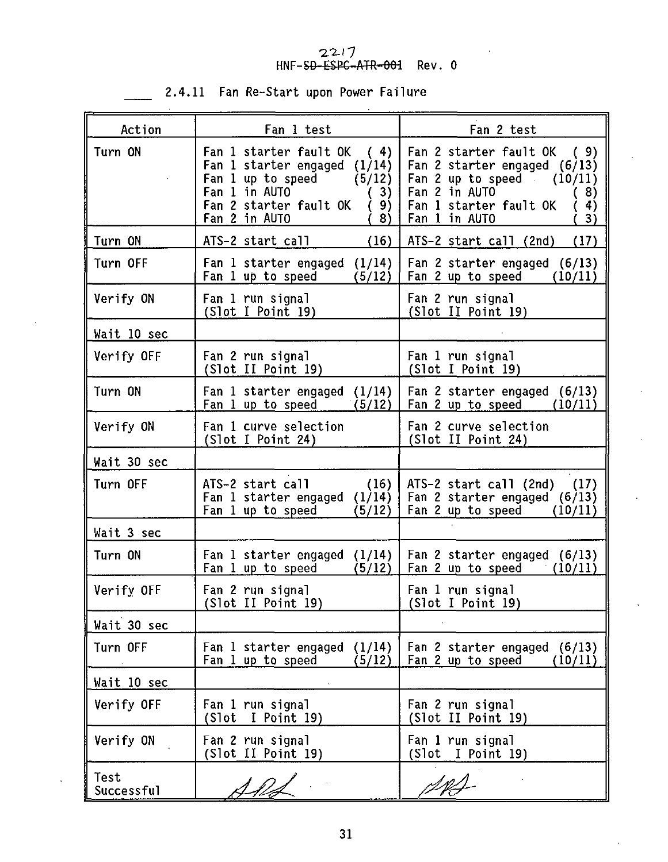## *•Z-2.1* 7

|  | 2.4.11 Fan Re-Start upon Power Failure |  |  |
|--|----------------------------------------|--|--|
|  |                                        |  |  |

| Action             | Fan 1 test                                                                                                                                                                    | Fan 2 test                                                                                                                                                                 |
|--------------------|-------------------------------------------------------------------------------------------------------------------------------------------------------------------------------|----------------------------------------------------------------------------------------------------------------------------------------------------------------------------|
| Turn ON            | Fan 1 starter fault OK<br>(4)<br>Fan 1 starter engaged $(1/14)$<br>Fan 1 up to speed<br>(5/12)<br>Fan 1 in AUTO<br>(3)<br>Fan 2 starter fault OK<br>9)<br>Fan 2 in AUTO<br>8) | Fan 2 starter fault OK<br>(9)<br>Fan 2 starter engaged (6/13)<br>Fan 2 up to speed $(10/11)$<br>Fan 2 in AUTO<br>8)<br>Fan 1 starter fault OK<br>4)<br>Fan 1 in AUTO<br>3) |
| Turn ON            | (16)<br>ATS-2 start call                                                                                                                                                      | ATS-2 start call (2nd)<br>(17)                                                                                                                                             |
| Turn OFF           | Fan 1 starter engaged $(1/14)$<br>Fan 1 up to speed<br>(5/12)                                                                                                                 | Fan 2 starter engaged (6/13)<br>Fan 2 up to speed<br>(10/11)                                                                                                               |
| Verify ON          | Fan 1 run signal<br>(Slot I Point 19)                                                                                                                                         | Fan 2 run signal<br>(Slot II Point 19)                                                                                                                                     |
| Wait 10 sec        |                                                                                                                                                                               |                                                                                                                                                                            |
| Verify OFF         | Fan 2 run signal<br>(Slot II Point 19)                                                                                                                                        | Fan 1 run signal<br>(Slot I Point 19)                                                                                                                                      |
| Turn ON            | Fan 1 starter engaged (1/14)<br>Fan 1 up to speed<br>(5/12)                                                                                                                   | Fan 2 starter engaged (6/13)<br>Fan 2 up to speed<br>(10/11)                                                                                                               |
| Verify ON          | Fan 1 curve selection<br>(Slot I Point 24)                                                                                                                                    | Fan 2 curve selection<br>(Slot II Point 24)                                                                                                                                |
| Wait 30 sec        |                                                                                                                                                                               |                                                                                                                                                                            |
| Turn OFF           | ATS-2 start call<br>(16)<br>Fan 1 starter engaged $(1/14)$<br>Fan 1 up to speed<br>(5/12)                                                                                     | ATS-2 start call (2nd)<br>(17)<br>Fan 2 starter engaged $(6/13)$<br>Fan 2 up to speed $(10/11)$                                                                            |
| Wait 3 sec         |                                                                                                                                                                               |                                                                                                                                                                            |
| Turn ON            | Fan 1 starter engaged (1/14)<br>Fan 1 up to speed<br>(5/12)                                                                                                                   | Fan 2 starter engaged (6/13)<br>Fan 2 up to speed<br>(10/11)                                                                                                               |
| Verify OFF         | Fan 2 run signal<br>(Slot II Point 19)                                                                                                                                        | Fan 1 run signal<br>(Slot I Point 19)                                                                                                                                      |
| Wait 30 sec        |                                                                                                                                                                               |                                                                                                                                                                            |
| Turn OFF           | Fan 1 starter engaged (1/14)<br>Fan 1 up to speed<br>(5/12)                                                                                                                   | Fan 2 starter engaged (6/13)<br>Fan 2 up to speed $(10/11)$                                                                                                                |
| Wait 10 sec        |                                                                                                                                                                               |                                                                                                                                                                            |
| Verify OFF         | Fan 1 run signal<br>(Slot I Point 19)                                                                                                                                         | Fan 2 run signal<br>(Slot II Point 19)                                                                                                                                     |
| Verify ON          | Fan 2 run signal<br>(Slot II Point 19)                                                                                                                                        | Fan 1 run signal<br>(Slot<br>I Point 19)                                                                                                                                   |
| Test<br>Successful |                                                                                                                                                                               |                                                                                                                                                                            |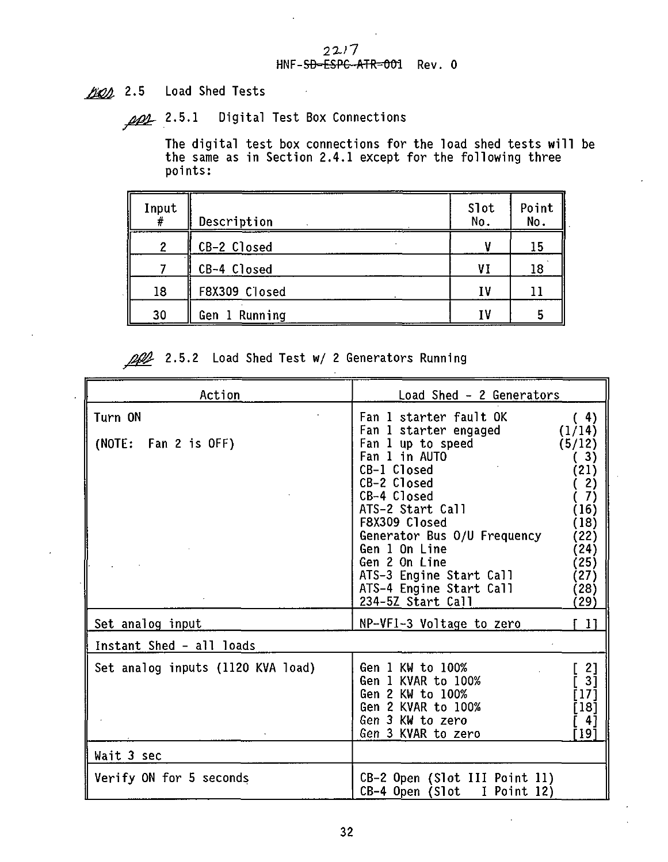#### $22/7$ HNF-SD-ESPC-ATR=001 Rev. 0

1001 2.5 Load Shed Tests

ppp 2.5.1 Digital Test Box Connections

The digital test box connections for the load shed tests will be the same as in Section 2.4.1 except for the following three points:

| Input | Description   | Slot<br>No. | Point<br>No. |
|-------|---------------|-------------|--------------|
|       | CB-2 Closed   |             | 15           |
|       | CB-4 Closed   | ۷I          | 18           |
| 18    | F8X309 Closed | I٧          |              |
| 30    | Gen 1 Running | τ۷          |              |

2.5.2 Load Shed Test w/ 2 Generators Running

| Action                            | Load Shed - 2 Generators                                                                                                                                                                                                                                                                                            |                                                                                                                      |  |
|-----------------------------------|---------------------------------------------------------------------------------------------------------------------------------------------------------------------------------------------------------------------------------------------------------------------------------------------------------------------|----------------------------------------------------------------------------------------------------------------------|--|
| Turn ON<br>(NOTE: Fan 2 is OFF)   | Fan 1 starter fault OK<br>Fan 1 starter engaged<br>Fan 1 up to speed<br>Fan 1 in AUTO<br>CB-1 Closed<br>CB-2 Closed<br>CB-4 Closed<br>ATS-2 Start Call<br>F8X309 Closed<br>Generator Bus 0/U Frequency<br>Gen 1 On Line<br>Gen 2 On Line<br>ATS-3 Engine Start Call<br>ATS-4 Engine Start Call<br>234-5Z Start Call | (4)<br>(1/14)<br>(5/12)<br>3)<br>21)<br>2)<br>7)<br>(16)<br>(18)<br>(22)<br>24)<br>25)<br>$ 27\rangle$<br>28)<br>29) |  |
| Set analog input                  | NP-VFI-3 Voltage to zero                                                                                                                                                                                                                                                                                            | -11                                                                                                                  |  |
| Instant Shed - all loads          |                                                                                                                                                                                                                                                                                                                     |                                                                                                                      |  |
| Set analog inputs (1120 KVA load) | Gen 1 KW to 100%<br>Gen 1 KVAR to 100%<br>Gen 2 KW to 100%<br>Gen 2 KVAR to 100%<br>Gen 3 KW to zero<br>Gen 3 KVAR to zero                                                                                                                                                                                          | 2]<br>31<br>171<br>181<br>-41<br>191                                                                                 |  |
| Wait 3 sec                        |                                                                                                                                                                                                                                                                                                                     |                                                                                                                      |  |
| Verify ON for 5 seconds           | CB-2 Open (Slot III Point 11)<br>I Point 12)<br>CB-4 Open (Slot                                                                                                                                                                                                                                                     |                                                                                                                      |  |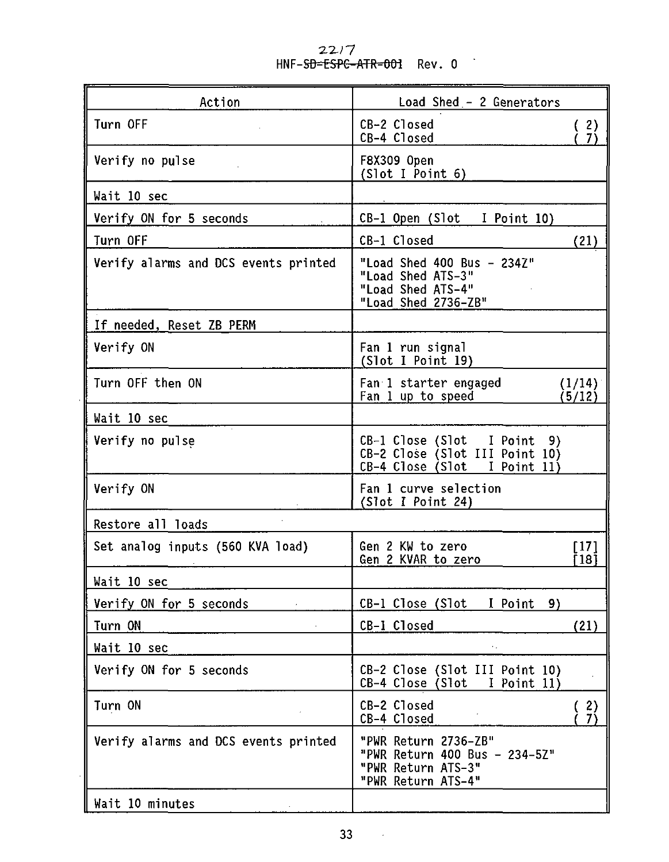| Action                                            | Load Shed - 2 Generators                                                                                                                                     |  |  |
|---------------------------------------------------|--------------------------------------------------------------------------------------------------------------------------------------------------------------|--|--|
| Turn OFF                                          | CB-2 Closed<br>(2)<br>CB-4 Closed<br>-7)                                                                                                                     |  |  |
| Verify no pulse                                   | F8X309 Open<br>(Slot I Point 6)                                                                                                                              |  |  |
| Wait 10 sec                                       |                                                                                                                                                              |  |  |
| Verify ON for 5 seconds<br>and the company of the | CB-1 Open (Slot I Point 10)                                                                                                                                  |  |  |
| Turn OFF                                          | CB-1 Closed<br>(21)                                                                                                                                          |  |  |
| Verify alarms and DCS events printed              | "Load Shed 400 Bus - 234Z"<br>"Load Shed ATS-3"<br>"Load Shed ATS-4"<br>"Load Shed 2736-ZB"                                                                  |  |  |
| If needed, Reset ZB PERM                          |                                                                                                                                                              |  |  |
| Verify ON                                         | Fan 1 run signal<br>(Slot I Point 19)                                                                                                                        |  |  |
| Turn OFF then ON                                  | Fan 1 starter engaged<br>(1/14)<br>Fan 1 up to speed The Manus Contract Contract Contract Contract Contract Contract Contract Contract Contract Co<br>(5/12) |  |  |
| Wait 10 sec                                       |                                                                                                                                                              |  |  |
| Verify no pulse                                   | CB-1 Close (Slot I Point 9)<br>CB-2 Close (Slot III Point 10)<br>CB-4 Close (Slot I Point 11)                                                                |  |  |
| Verify ON                                         | Fan 1 curve selection<br>(Slot I Point 24)                                                                                                                   |  |  |
| Restore all loads                                 |                                                                                                                                                              |  |  |
| Set analog inputs (560 KVA load)                  | Gen 2 KW to zero<br>[17]<br>Ī 18 Ī<br>Gen 2 KVAR to zero                                                                                                     |  |  |
| Wait 10 sec                                       |                                                                                                                                                              |  |  |
| Verify ON for 5 seconds                           | CB-1 Close (Slot I Point 9)                                                                                                                                  |  |  |
| Turn ON                                           | CB-1 Closed<br>(21)                                                                                                                                          |  |  |
| Wait 10 sec                                       |                                                                                                                                                              |  |  |
| Verify ON for 5 seconds                           | CB-2 Close (Slot III Point 10)<br>CB-4 Close (Slot I Point 11)                                                                                               |  |  |
| Turn ON                                           | CB-2 Closed<br>(2)<br>(7)<br>CB-4 Closed                                                                                                                     |  |  |
| Verify alarms and DCS events printed              | "PWR Return 2736-ZB"<br>"PWR Return 400 Bus - 234-5Z"<br>"PWR Return ATS-3"<br>"PWR Return ATS-4"                                                            |  |  |
| Wait 10 minutes                                   |                                                                                                                                                              |  |  |

**2.X/7** Rev. 0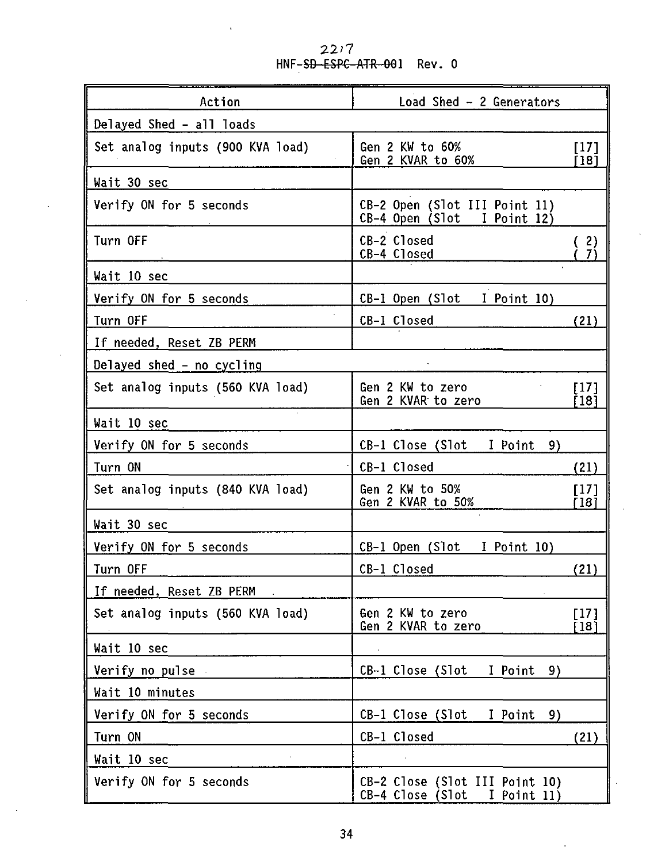$22/7$ <br>HNF-<del>SD-ESPC ATR-00</del>1 Rev. 0

| Action                           | Load Shed - 2 Generators                                       |                |  |  |
|----------------------------------|----------------------------------------------------------------|----------------|--|--|
| Delayed Shed - all loads         |                                                                |                |  |  |
| Set analog inputs (900 KVA load) | Gen 2 KW to 60%<br>Gen 2 KVAR to 60%                           | [17]<br>[18]   |  |  |
| Wait 30 sec                      |                                                                |                |  |  |
| Verify ON for 5 seconds          | CB-2 Open (Slot III Point 11)<br>CB-4 Open (Slot I Point 12)   |                |  |  |
| Turn OFF                         | CB-2 Closed<br>CB-4 Closed                                     | -2)<br>7)      |  |  |
| Wait 10 sec                      |                                                                |                |  |  |
| Verify ON for 5 seconds          | CB-1 Open (Slot I Point 10)                                    |                |  |  |
| i,<br>Turn OFF                   | CB-1 Closed                                                    | (21)           |  |  |
| If needed, Reset ZB PERM         |                                                                |                |  |  |
| Delayed shed - no cycling        |                                                                |                |  |  |
| Set analog inputs (560 KVA load) | Gen 2 KW to zero<br>Gen 2 KVAR to zero                         | [17]<br>[18]   |  |  |
| Wait 10 sec                      |                                                                |                |  |  |
| Verify ON for 5 seconds          | CB-1 Close (Slot I Point<br>9)                                 |                |  |  |
| Turn ON                          | CB-1 Closed                                                    | (21)           |  |  |
| Set analog inputs (840 KVA load) | Gen 2 KW to 50%<br>Gen 2 KVAR to 50%                           | [17]<br>[18]   |  |  |
| Wait 30 sec                      |                                                                |                |  |  |
| Verify ON for 5 seconds          | CB-1 Open (Slot I Point 10)                                    |                |  |  |
| Turn OFF                         | CB-1 Closed                                                    | (21)           |  |  |
| If needed, Reset ZB PERM         |                                                                |                |  |  |
| Set analog inputs (560 KVA load) | Gen 2 KW to zero<br>Gen 2 KVAR to zero                         | $[17]$<br>[18] |  |  |
| Wait 10 sec                      |                                                                |                |  |  |
| Verify no pulse                  | CB-1 Close (Slot I Point 9)                                    |                |  |  |
| Wait 10 minutes                  |                                                                |                |  |  |
| Verify ON for 5 seconds          | CB-1 Close (Slot I Point<br>9)                                 |                |  |  |
| Turn ON                          | CB-1 Closed                                                    | (21)           |  |  |
| Wait 10 sec                      |                                                                |                |  |  |
| Verify ON for 5 seconds          | CB-2 Close (Slot III Point 10)<br>CB-4 Close (Slot I Point 11) |                |  |  |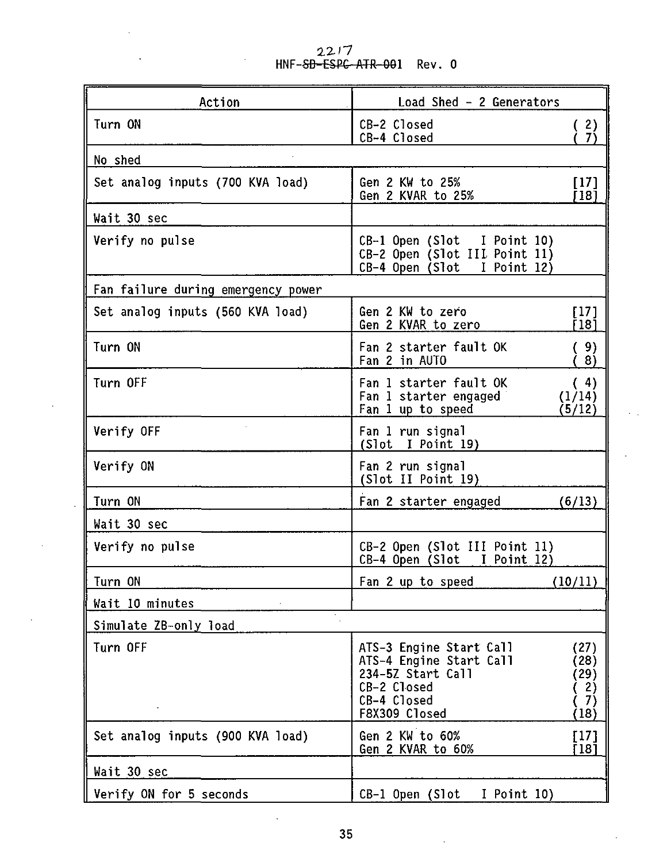2217 HNF-<del>SD-ESPC-ATR-00</del>1 Rev. O

 $\ddot{\phantom{0}}$ 

l,

| Action                             | Load Shed - 2 Generators                                                                                                                                            |  |  |
|------------------------------------|---------------------------------------------------------------------------------------------------------------------------------------------------------------------|--|--|
| Turn ON                            | CB-2 Closed<br>$\frac{2}{7}$<br>CB-4 Closed                                                                                                                         |  |  |
| No shed                            |                                                                                                                                                                     |  |  |
| Set analog inputs (700 KVA load)   | Gen 2 KW to 25%<br>[17]<br>Gen 2 KVAR to 25%<br>[18]                                                                                                                |  |  |
| Wait 30 sec                        |                                                                                                                                                                     |  |  |
| Verify no pulse                    | CB-1 Open (Slot I Point 10)<br>CB-2 Open (Slot III Point 11)<br>CB-4 Open (Slot I Point 12)                                                                         |  |  |
| Fan failure during emergency power |                                                                                                                                                                     |  |  |
| Set analog inputs (560 KVA load)   | Gen 2 KW to zero<br>[17]<br>Gen 2 KVAR to zero<br>[18]                                                                                                              |  |  |
| Turn ON                            | Fan 2 starter fault OK<br>(9)<br>Fan 2 in AUTO<br>(8)                                                                                                               |  |  |
| Turn OFF                           | Fan 1 starter fault OK<br>(4)<br>Fan 1 starter engaged<br>(1/14)<br>Fan 1 up to speed<br>(5/12)                                                                     |  |  |
| Verify OFF                         | Fan 1 run signal<br>(Slot I Point 19)                                                                                                                               |  |  |
| Verify ON                          | Fan 2 run signal<br>(Slot II Point 19)                                                                                                                              |  |  |
| Turn ON                            | Fan 2 starter engaged<br>(6/13)                                                                                                                                     |  |  |
| Wait 30 sec                        |                                                                                                                                                                     |  |  |
| Verify no pulse                    | CB-2 Open (Slot III Point 11)<br>CB-4 Open (Slot I Point 12)                                                                                                        |  |  |
| Turn ON                            | Fan 2 up to speed<br>(10/11)                                                                                                                                        |  |  |
| Wait 10 minutes                    |                                                                                                                                                                     |  |  |
| Simulate ZB-only load              |                                                                                                                                                                     |  |  |
| Turn OFF                           | ATS-3 Engine Start Call<br>(27)<br>ATS-4 Engine Start Call<br>(28)<br>234-5Z Start Call<br>(29)<br>CB-2 Closed<br>(2)<br>CB-4 Closed<br>(7)<br>F8X309 Closed<br>18) |  |  |
| Set analog inputs (900 KVA load)   | Gen 2 KW to 60%<br>T 17 1<br>ř 181<br>Gen 2 KVAR to 60%                                                                                                             |  |  |
| Wait 30 sec                        |                                                                                                                                                                     |  |  |
| Verify ON for 5 seconds            | CB-1 Open (Slot<br>I Point 10)                                                                                                                                      |  |  |

 $\ddot{\phantom{a}}$ 

k,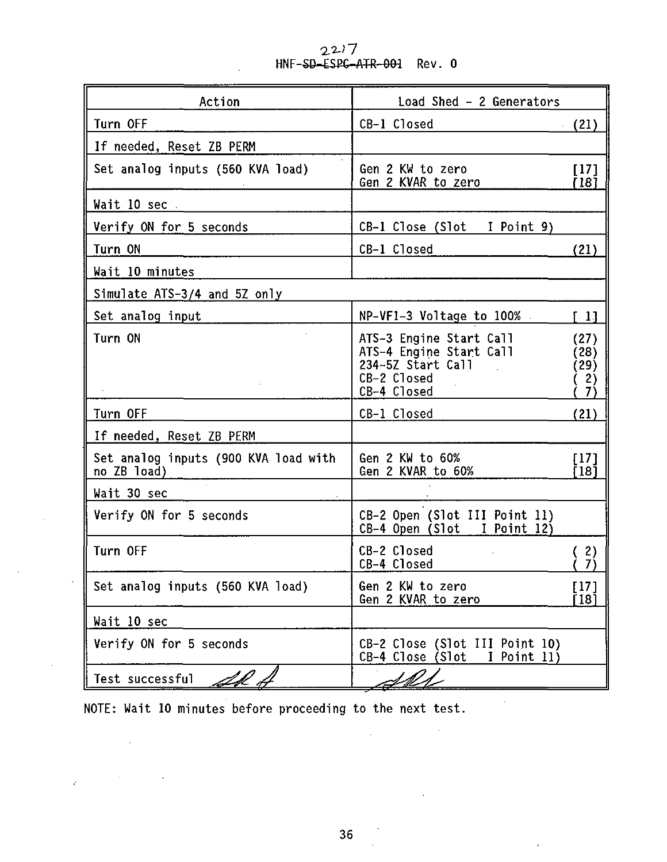2.2J7 HNF-SD-ESPC-ATR-Ofrl **Rev. 0**

| Action                                              | Load Shed - 2 Generators                                                                                        |                                   |
|-----------------------------------------------------|-----------------------------------------------------------------------------------------------------------------|-----------------------------------|
| Turn OFF                                            | CB-1 Closed                                                                                                     | (21)                              |
| If needed, Reset ZB PERM                            |                                                                                                                 |                                   |
| Set analog inputs (560 KVA load)                    | Gen 2 KW to zero<br>Gen 2 KVAR to zero                                                                          | [17]<br>[18]                      |
| Wait 10 sec .                                       |                                                                                                                 |                                   |
| Verify ON for 5 seconds                             | CB-1 Close (Slot I Point 9)                                                                                     |                                   |
| Turn ON                                             | CB-1 Closed                                                                                                     | (21)                              |
| Wait 10 minutes                                     |                                                                                                                 |                                   |
| Simulate ATS-3/4 and 5Z only                        |                                                                                                                 |                                   |
| Set analog input                                    | NP-VF1-3 Voltage to 100%                                                                                        | f 11                              |
| Turn ON                                             | ATS-3 Engine Start Call<br>ATS-4 Engine Start Call<br>234-5Z Start Call<br>$\sim$<br>CB-2 Closed<br>CB-4 Closed | (27)<br>(28)<br>(29)<br>(2)<br>7) |
| Turn OFF                                            | CB-1 Closed                                                                                                     | (21)                              |
| If needed, Reset ZB PERM                            |                                                                                                                 |                                   |
| Set analog inputs (900 KVA load with<br>no ZB load) | Gen 2 KW to 60%<br>Gen 2 KVAR to 60%                                                                            | 1171<br>Ī 18Ī                     |
| Wait 30 sec                                         |                                                                                                                 |                                   |
| Verify ON for 5 seconds                             | CB-2 Open (Slot III Point 11)<br>$CB-4$ Open (Slot I Point 12)                                                  |                                   |
| Turn OFF                                            | CB-2 Closed<br>CB-4 Closed                                                                                      | 2)<br>7)                          |
| Set analog inputs (560 KVA load)                    | Gen 2 KW to zero<br>Gen 2 KVAR to zero                                                                          | [17]<br>Ī 18Ī                     |
| Wait 10 sec                                         |                                                                                                                 |                                   |
| Verify ON for 5 seconds                             | CB-2 Close (Slot III Point 10)<br>CB-4 Close (Slot I Point 11)                                                  |                                   |
| Test successful<br>LH +                             |                                                                                                                 |                                   |

**NOTE: Wait 10 minutes before proceeding to the next test.**

 $\sim$ 

 $\sim$ 

 $\mathcal{L}_{\text{max}}$  and  $\mathcal{L}_{\text{max}}$  and  $\mathcal{L}_{\text{max}}$ 

 $\label{eq:2.1} \frac{1}{\sqrt{2}}\int_{\mathbb{R}^{2}}\left|\frac{1}{\sqrt{2}}\left(\frac{1}{\sqrt{2}}\right)^{2}e^{-\frac{1}{2}\left(\frac{1}{\sqrt{2}}\right)^{2}}\right|^{2}dx\leq \frac{1}{2}\int_{\mathbb{R}^{2}}\left|\frac{1}{\sqrt{2}}\left(\frac{1}{\sqrt{2}}\right)^{2}e^{-\frac{1}{2}\left(\frac{1}{\sqrt{2}}\right)^{2}}\right|^{2}dx$ 

 $\sim 10^{-11}$ 

 $\sim 10^6$ 

 $\ddot{\phantom{0}}$ 

 $\sim 100$ 

 $\sim 1000$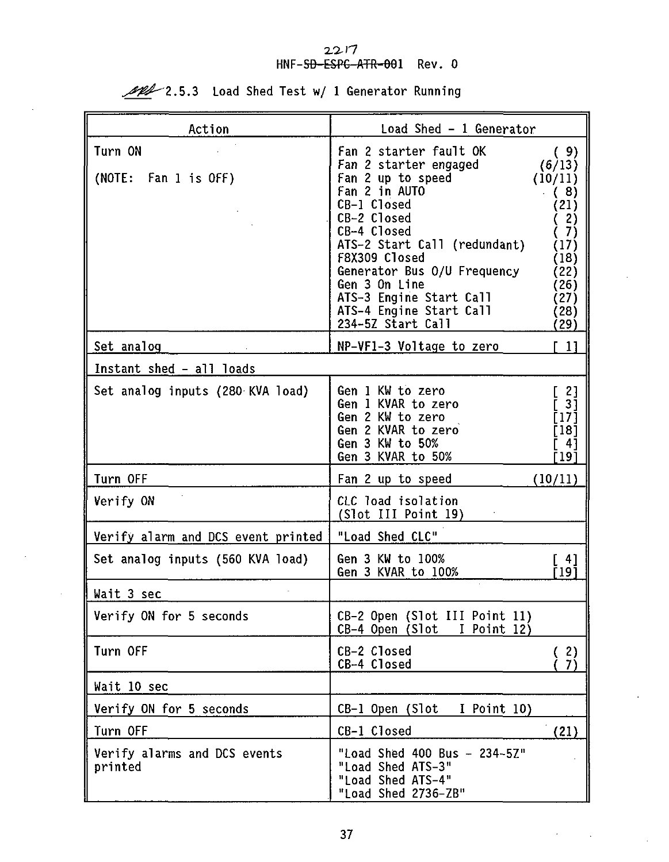# 2217<br>HNF-S<del>D-ESPC-ATR-00</del>1 Rev. 0

1 Generator Running 2.5.3 Load Shed Test w/ 1 Generator Running

| Action                                  | Load Shed - 1 Generator                                                                                                                                                                                                                                                                                        |                                                                                                                             |  |
|-----------------------------------------|----------------------------------------------------------------------------------------------------------------------------------------------------------------------------------------------------------------------------------------------------------------------------------------------------------------|-----------------------------------------------------------------------------------------------------------------------------|--|
| Turn ON<br>(NOTE: Fan 1 is OFF)         | Fan 2 starter fault OK<br>Fan 2 starter engaged<br>Fan 2 up to speed<br>Fan 2 in AUTO<br>CB-1 Closed<br>CB-2 Closed<br>CB-4 Closed<br>ATS-2 Start Call (redundant)<br>F8X309 Closed<br>Generator Bus 0/U Frequency<br>Gen 3 On Line<br>ATS-3 Engine Start Call<br>ATS-4 Engine Start Call<br>234-5Z Start Call | (9)<br>(6/13)<br>(10/11)<br>(8)<br>(21)<br>(2)<br>$\left( 7\right)$<br>(17)<br>(18)<br>(22)<br>(26)<br>(27)<br>(28)<br>(29) |  |
| Set analog                              | NP-VF1-3 Voltage to zero                                                                                                                                                                                                                                                                                       | F 11                                                                                                                        |  |
| Instant shed - all loads                |                                                                                                                                                                                                                                                                                                                |                                                                                                                             |  |
| Set analog inputs (280 KVA load)        | Gen 1 KW to zero<br>Gen 1 KVAR to zero<br>Gen 2 KW to zero<br>Gen 2 KVAR to zero<br>Gen 3 KW to 50%<br>Gen 3 KVAR to 50%                                                                                                                                                                                       | r 21<br>Ē 31<br>[17]<br>[18]<br>ſ 41<br>[19]                                                                                |  |
| Turn OFF                                | Fan 2 up to speed                                                                                                                                                                                                                                                                                              | (10/11)                                                                                                                     |  |
| Verify ON                               | CLC load isolation<br>(Slot III Point 19)                                                                                                                                                                                                                                                                      |                                                                                                                             |  |
| Verify alarm and DCS event printed      | "Load Shed CLC"                                                                                                                                                                                                                                                                                                |                                                                                                                             |  |
| Set analog inputs (560 KVA load)        | Gen 3 KW to 100%<br>Gen 3 KVAR to 100%                                                                                                                                                                                                                                                                         | i 41<br>r 19 1                                                                                                              |  |
| Wait 3 sec                              |                                                                                                                                                                                                                                                                                                                |                                                                                                                             |  |
| Verify ON for 5 seconds                 | CB-2 Open (Slot III Point 11)<br>CB-4 Open (Slot I Point 12)                                                                                                                                                                                                                                                   |                                                                                                                             |  |
| Turn OFF                                | CB-2 Closed<br>CB-4 Closed                                                                                                                                                                                                                                                                                     | (2)<br>7í                                                                                                                   |  |
| Wait 10 sec                             |                                                                                                                                                                                                                                                                                                                |                                                                                                                             |  |
| Verify ON for 5 seconds                 | CB-1 Open (Slot<br>I Point 10)                                                                                                                                                                                                                                                                                 |                                                                                                                             |  |
| Turn OFF                                | CB-1 Closed                                                                                                                                                                                                                                                                                                    | (21)                                                                                                                        |  |
| Verify alarms and DCS events<br>printed | "Load Shed 400 Bus - 234~5Z"<br>"Load Shed ATS-3"<br>"Load Shed ATS-4"<br>"Load Shed 2736-ZB"                                                                                                                                                                                                                  |                                                                                                                             |  |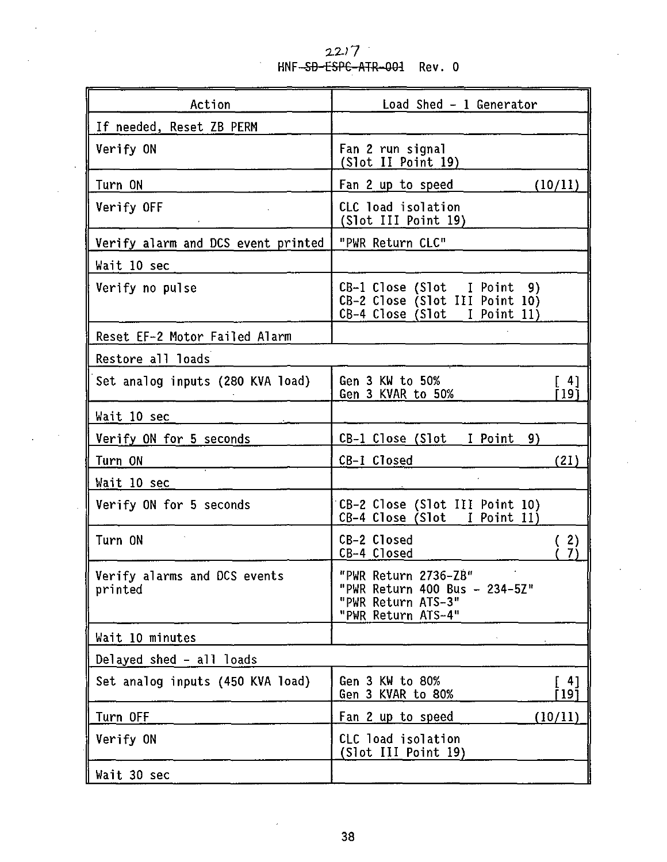HNF<del>-SD-ESPC-ATR-001</del> Rev. 0  $22/7$ 

| Action                                  | Load Shed - 1 Generator                                                                           |  |  |
|-----------------------------------------|---------------------------------------------------------------------------------------------------|--|--|
| If needed, Reset ZB PERM                |                                                                                                   |  |  |
| Verify ON                               | Fan 2 run signal<br>(Slot II Point 19)                                                            |  |  |
| Turn ON                                 | (10/11)<br>Fan 2 up to speed                                                                      |  |  |
| Verify OFF                              | CLC load isolation<br>(Slot III Point 19)                                                         |  |  |
| Verify alarm and DCS event printed      | "PWR Return CLC"                                                                                  |  |  |
| Wait 10 sec                             |                                                                                                   |  |  |
| Verify no pulse                         | CB-1 Close (Slot I Point 9)<br>CB-2 Close (Slot III Point 10)<br>$CB-4$ Close (Slot I Point 11)   |  |  |
| Reset EF-2 Motor Failed Alarm           |                                                                                                   |  |  |
| Restore all loads                       |                                                                                                   |  |  |
| Set analog inputs (280 KVA load)        | Gen 3 KW to 50%<br>[ 4]<br>Gen 3 KVAR to 50%<br>[19]                                              |  |  |
| Wait 10 sec                             |                                                                                                   |  |  |
| Verify ON for 5 seconds                 | CB-1 Close (Slot I Point 9)                                                                       |  |  |
| Turn ON                                 | CB-1 Closed<br>(21)                                                                               |  |  |
| Wait 10 sec                             |                                                                                                   |  |  |
| Verify ON for 5 seconds                 | CB-2 Close (Slot III Point 10)<br>CB-4 Close (Slot I Point 11)                                    |  |  |
| Turn ON                                 | CB-2 Closed<br>(2)<br>$\tilde{7}$<br>CB-4 Closed                                                  |  |  |
| Verify alarms and DCS events<br>printed | "PWR Return 2736-ZB"<br>"PWR Return 400 Bus - 234-5Z"<br>"PWR Return ATS-3"<br>"PWR Return ATS-4" |  |  |
| Wait 10 minutes                         |                                                                                                   |  |  |
| Delayed shed - all loads                |                                                                                                   |  |  |
| Set analog inputs (450 KVA load)        | Gen 3 KW to 80%<br>[ 41<br>Gen 3 KVAR to 80%<br>[ 19 1                                            |  |  |
| Turn OFF                                | Fan 2 up to speed<br>(10/11)                                                                      |  |  |
| Verify ON                               | CLC load isolation<br>(Slot III Point 19)                                                         |  |  |
| Wait 30 sec                             |                                                                                                   |  |  |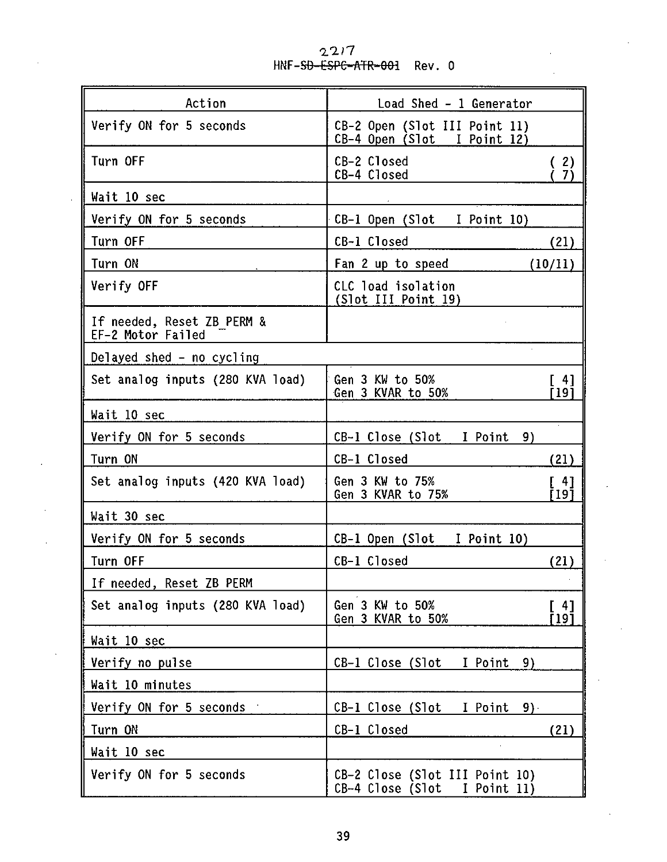| Action<br>Load Shed - 1 Generator               |                                                                    |  |
|-------------------------------------------------|--------------------------------------------------------------------|--|
| Verify ON for 5 seconds                         | CB-2 Open (Slot III Point 11)<br>CB-4 Open (Slot I Point 12)       |  |
| Turn OFF                                        | CB-2 Closed<br>(2)<br>CB-4 Closed<br>7)                            |  |
| Wait 10 sec                                     |                                                                    |  |
| Verify ON for 5 seconds                         | CB-1 Open (Slot I Point 10)                                        |  |
| Turn OFF                                        | CB-1 Closed<br>(21)                                                |  |
| Turn ON                                         | Fan 2 up to speed<br>(10/11)                                       |  |
| Verify OFF                                      | CLC load isolation<br>(Slot III Point 19)                          |  |
| If needed, Reset ZB PERM &<br>EF-2 Motor Failed |                                                                    |  |
| Delayed shed - no cycling                       |                                                                    |  |
| Set analog inputs (280 KVA load)                | Gen 3 KW to 50%<br>$\lceil 4 \rceil$<br>Ī 19Ī<br>Gen 3 KVAR to 50% |  |
| Wait 10 sec                                     |                                                                    |  |
| Verify ON for 5 seconds                         | CB-1 Close (Slot – I Point –<br>9)                                 |  |
| Turn ON                                         | CB-1 Closed<br>(21)                                                |  |
| Set analog inputs (420 KVA load)                | Gen 3 KW to 75%<br>[ 4]<br>Gen 3 KVAR to 75%<br>191                |  |
| Wait 30 sec                                     |                                                                    |  |
| Verify ON for 5 seconds                         | CB-1 Open (Slot I Point 10)                                        |  |
| Turn OFF                                        | CB-1 Closed<br>(21)                                                |  |
| If needed, Reset ZB PERM                        |                                                                    |  |
| Set analog inputs (280 KVA load)                | Gen 3 KW to 50%<br>[4]<br>Gen 3 KVAR to 50%<br>f 191               |  |
| Wait 10 sec                                     |                                                                    |  |
| Verify no pulse                                 | CB-1 Close (Slot<br>I Point<br>9)                                  |  |
| Wait 10 minutes                                 |                                                                    |  |
| Verify ON for 5 seconds                         | CB-1 Close (Slot I Point<br>9).                                    |  |
| Turn ON                                         | CB-1 Closed<br>(21)                                                |  |
| Wait 10 sec                                     |                                                                    |  |
| Verify ON for 5 seconds                         | CB-2 Close (Slot III Point 10)<br>CB-4 Close (Slot I Point 11)     |  |

 $2^{\prime}$ HNF-<del>SD-ESPC-ATR-001</del> Rev. 0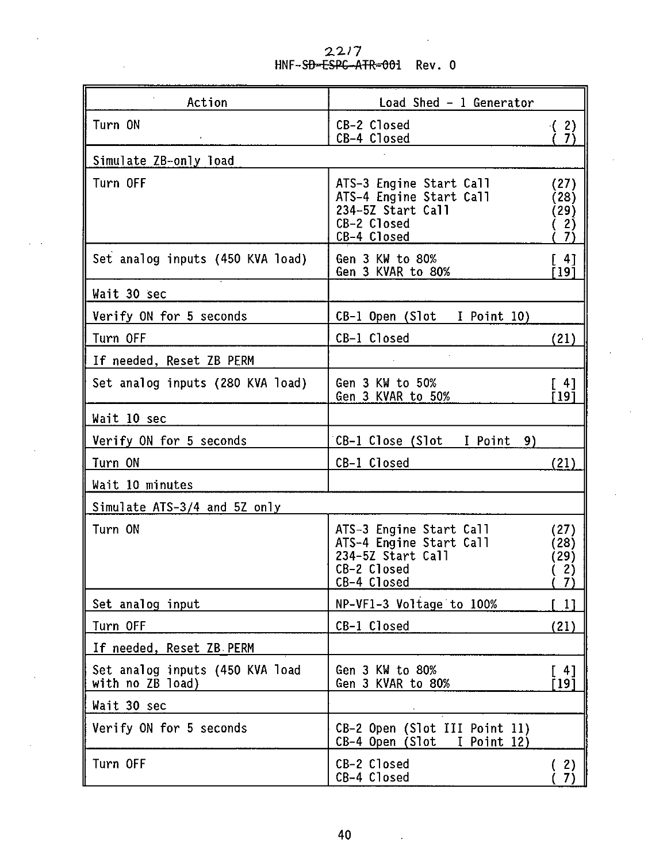| Action                                              | Load Shed - 1 Generator                                                                               |                                    |  |
|-----------------------------------------------------|-------------------------------------------------------------------------------------------------------|------------------------------------|--|
| Turn ON<br>$\mathcal{L}$                            | CB-2 Closed<br>CB-4 Closed                                                                            | (2)<br>-7)                         |  |
| Simulate ZB-only load                               |                                                                                                       |                                    |  |
| Turn OFF                                            | ATS-3 Engine Start Call<br>ATS-4 Engine Start Call<br>234-5Z Start Call<br>CB-2 Closed<br>CB-4 Closed | (27)<br>(28)<br>(29)<br>(2)<br>-7) |  |
| Set analog inputs (450 KVA load)                    | Gen 3 KW to 80%<br>Gen 3 KVAR to 80%                                                                  | $[4]$<br>F191                      |  |
| Wait 30 sec                                         |                                                                                                       |                                    |  |
| Verify ON for 5 seconds                             | CB-1 Open (Slot I Point 10)                                                                           |                                    |  |
| Turn OFF                                            | CB-1 Closed                                                                                           | (21)                               |  |
| If needed, Reset ZB PERM                            |                                                                                                       |                                    |  |
| Set analog inputs (280 KVA load)                    | Gen 3 KW to 50%<br>Gen 3 KVAR to 50%                                                                  | $\sqrt{41}$<br>T 19 1              |  |
| Wait 10 sec                                         |                                                                                                       |                                    |  |
| Verify ON for 5 seconds                             | CB-1 Close (Slot I Point 9)                                                                           |                                    |  |
| Turn ON                                             | CB-1 Closed                                                                                           | (21)                               |  |
| Wait 10 minutes                                     |                                                                                                       |                                    |  |
| Simulate ATS-3/4 and 5Z only                        |                                                                                                       |                                    |  |
| Turn ON                                             | ATS-3 Engine Start Call<br>ATS-4 Engine Start Call<br>234-5Z Start Call<br>CB-2 Closed<br>CB-4 Closed | (27)<br>(28)<br>(29)<br>(2)<br>(7) |  |
| Set analog input                                    | NP-VF1-3 Voltage to 100%                                                                              | $\begin{bmatrix} 1 \end{bmatrix}$  |  |
| Turn OFF                                            | CB-1 Closed                                                                                           | (21)                               |  |
| If needed, Reset ZB PERM                            |                                                                                                       |                                    |  |
| Set analog inputs (450 KVA load<br>with no ZB load) | Gen 3 KW to 80%<br>Gen 3 KVAR to 80%                                                                  | [ 4]<br>Ī 19 Ī                     |  |
| Wait 30 sec                                         |                                                                                                       |                                    |  |
| Verify ON for 5 seconds                             | CB-2 Open (Slot III Point 11)<br>$CB-4$ Open (Slot I Point 12)                                        |                                    |  |
| Turn OFF                                            | CB-2 Closed<br>CB-4 Closed                                                                            | (2)<br>(7)                         |  |

22/7<br><del>ESPC-ATR-00</del>1 Rev.0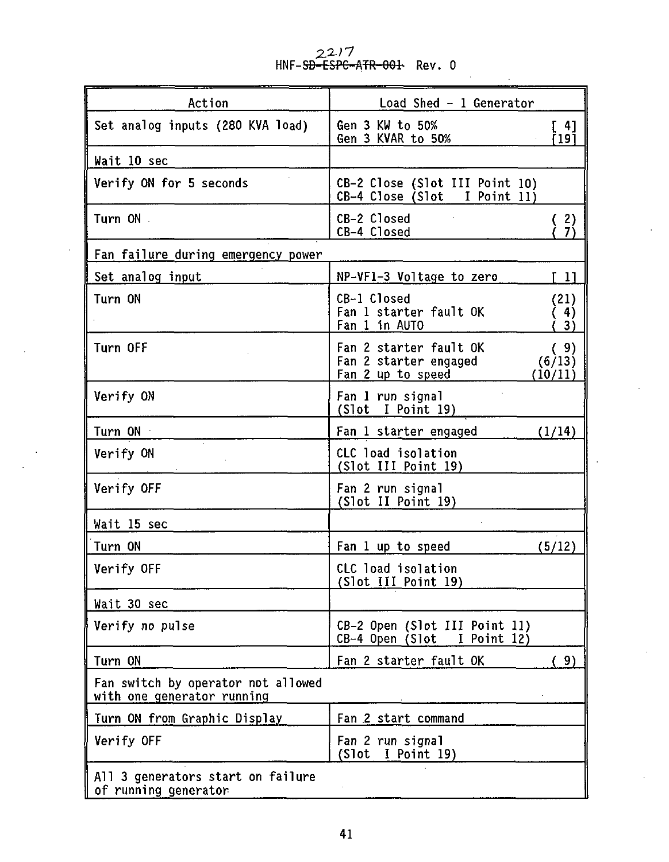**2.2.; 7 HNF-SD-ESFC-ATR-OOfc Rev. 0**

| Action                                                           | Load Shed - 1 Generator                                                                          |  |  |
|------------------------------------------------------------------|--------------------------------------------------------------------------------------------------|--|--|
| Set analog inputs (280 KVA load)                                 | Gen 3 KW to 50%<br>[ 4]<br>i 19 İ<br>Gen 3 KVAR to 50%                                           |  |  |
| Wait 10 sec                                                      |                                                                                                  |  |  |
| Verify ON for 5 seconds                                          | CB-2 Close (Slot III Point 10)<br>CB-4 Close (Slot I Point 11)                                   |  |  |
| Turn ON .                                                        | CB-2 Closed<br>$\binom{2}{7}$<br>CB-4 Closed                                                     |  |  |
| Fan failure during emergency power                               |                                                                                                  |  |  |
| Set analog input                                                 | NP-VF1-3 Voltage to zero<br>-11                                                                  |  |  |
| Turn ON                                                          | CB-1 Closed<br>(21)<br>Fan 1 starter fault OK<br>4)<br>Fan 1 in AUTO<br>3)                       |  |  |
| Turn OFF                                                         | Fan 2 starter fault OK<br>(9)<br>Fan 2 starter engaged<br>(6/13)<br>Fan 2 up to speed<br>(10/11) |  |  |
| Verify ON                                                        | Fan 1 run signal<br>(Slot I Point 19)                                                            |  |  |
| Turn ON ·                                                        | Fan 1 starter engaged<br>(1/14)                                                                  |  |  |
| Verify ON                                                        | CLC load isolation<br>(Slot III Point 19)                                                        |  |  |
| Verify OFF                                                       | Fan 2 run signal<br>(Slot II Point 19)                                                           |  |  |
| Wait 15 sec                                                      |                                                                                                  |  |  |
| Turn ON                                                          | Fan 1 up to speed<br>(5/12)                                                                      |  |  |
| Verify OFF                                                       | CLC load isolation<br>(Slot III Point 19)                                                        |  |  |
| Wait 30 sec                                                      |                                                                                                  |  |  |
| Verify no pulse                                                  | CB-2 Open (Slot III Point 11)<br>CB-4 Open (Slot<br>I Point 12)                                  |  |  |
| Turn ON                                                          | Fan 2 starter fault OK<br>9)                                                                     |  |  |
| Fan switch by operator not allowed<br>with one generator running |                                                                                                  |  |  |
| Turn ON from Graphic Display                                     | Fan 2 start command                                                                              |  |  |
| Verify OFF                                                       | Fan 2 run signal<br>(Slot<br>$I$ Point 19)                                                       |  |  |
| All 3 generators start on failure<br>of running generator        |                                                                                                  |  |  |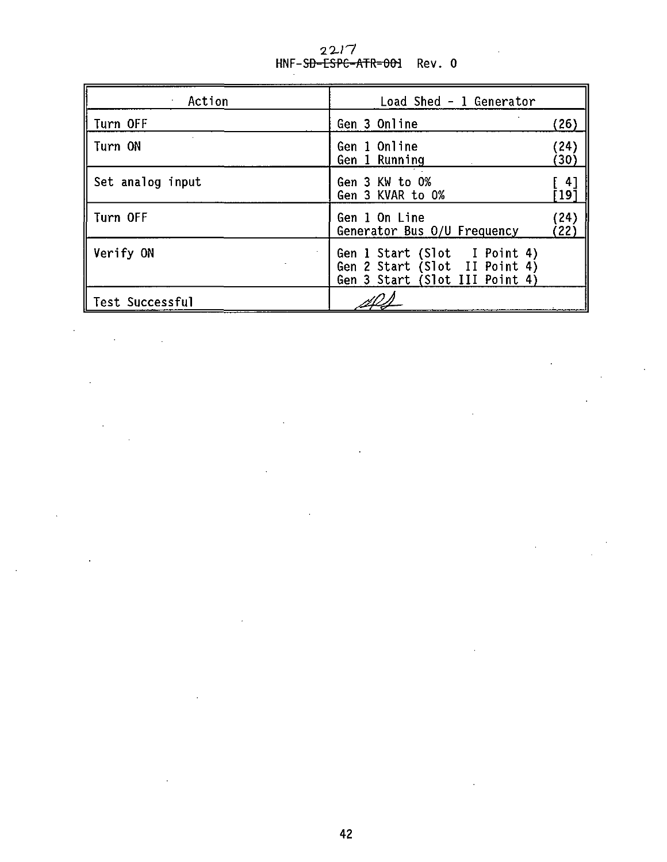| Action           | Load Shed - 1 Generator                                                                         |              |
|------------------|-------------------------------------------------------------------------------------------------|--------------|
| L<br>Turn OFF    | Gen 3 Online                                                                                    | (26)         |
| I<br>Turn ON     | Gen 1 Online<br>Gen 1 Running                                                                   | (24)<br>(30) |
| Set analog input | Gen 3 KW to 0%<br>Gen 3 KVAR to 0%                                                              | 41<br>191    |
| Turn OFF         | Gen 1 On Line<br>Generator Bus 0/U Frequency                                                    | (24)<br>22)  |
| Verify ON        | Gen 1 Start (Slot I Point 4)<br>Gen 2 Start (Slot II Point 4)<br>Gen 3 Start (Slot III Point 4) |              |
| Test Successful  |                                                                                                 |              |

à.

22/7<br>HNF-S<del>D-ESPC-ATR-001</del> Rev. 0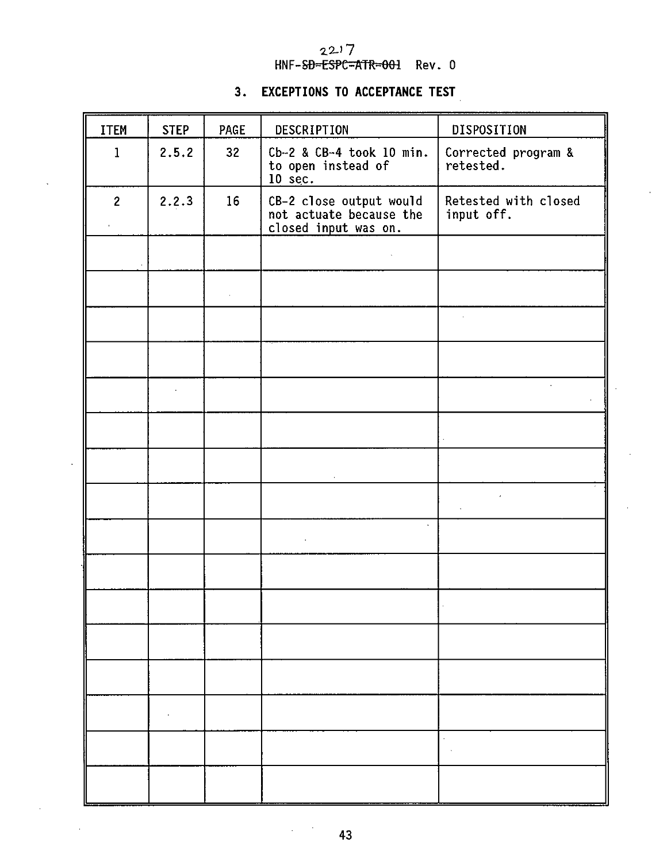### 2.2J 7 HNF-SD=ESPC=ATR=001 Rev. 0

### **3. EXCEPTIONS TO ACCEPTANCE TEST**

| ITEM           | <b>STEP</b> | PAGE | DESCRIPTION                                                                | DISPOSITION                        |
|----------------|-------------|------|----------------------------------------------------------------------------|------------------------------------|
| $\mathbf{1}$   | 2.5.2       | 32   | Cb-2 & CB-4 took 10 min.<br>to open instead of<br>$10 \text{ sec.}$        | Corrected program &<br>retested.   |
| $\overline{c}$ | 2.2.3       | 16   | CB-2 close output would<br>not actuate because the<br>closed input was on. | Retested with closed<br>input off. |
|                |             |      |                                                                            |                                    |
|                |             |      |                                                                            |                                    |
|                |             |      |                                                                            | à.                                 |
|                |             |      |                                                                            |                                    |
|                | l,          |      |                                                                            |                                    |
|                |             |      |                                                                            |                                    |
|                |             |      |                                                                            |                                    |
|                |             |      |                                                                            |                                    |
|                |             |      |                                                                            |                                    |
|                |             |      |                                                                            |                                    |
|                |             |      |                                                                            |                                    |
|                |             |      |                                                                            |                                    |
|                |             |      |                                                                            |                                    |
|                |             |      |                                                                            |                                    |
|                |             |      |                                                                            |                                    |
|                |             |      |                                                                            |                                    |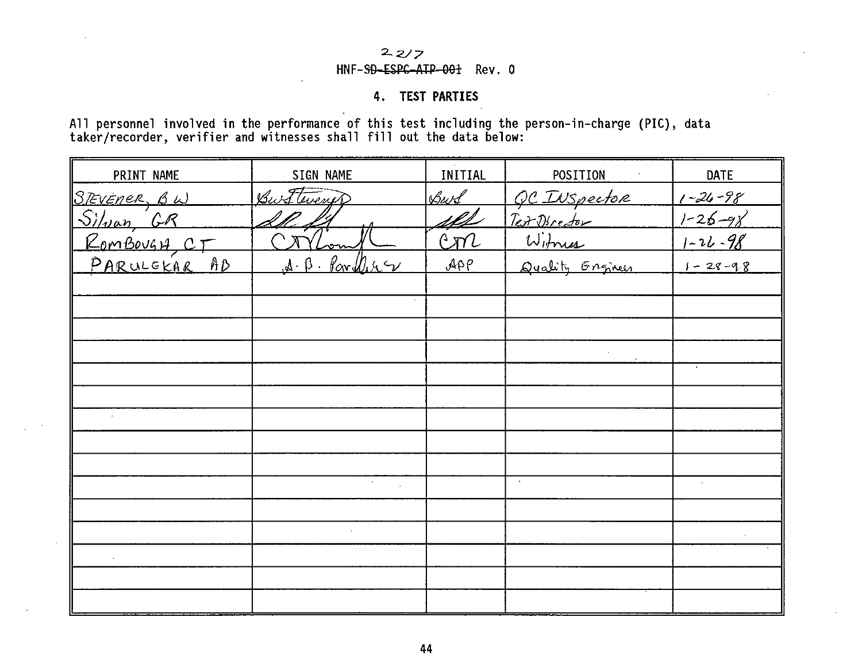## $227$

### HNF-SD-ESPC-ATP-001 Rev. 0

### **4. TEST PARTIES**

All personnel involved in the performance of this test including the person-in-charge (PIC), data taker/recorder, verifier and witnesses shall fill out the data below:

| PRINT NAME                                | SIGN NAME                | <b>INITIAL</b>  | POSITION                               | DATE          |
|-------------------------------------------|--------------------------|-----------------|----------------------------------------|---------------|
|                                           | Burttwent                | Burd            | QC INSpector<br>Ter Director<br>Witmus | $1 - 26 - 98$ |
|                                           | <u>20. Lr</u>            | <u>ill</u>      |                                        | $1 - 26 - 98$ |
| STEVENER, BW<br>Silvan, GR<br>RomBougy CT | $\bigcap$ $\pi$          | con             |                                        | $1 - 26 - 98$ |
| PARULEKAR AD                              | $A - B - P$ or $D_A - D$ | $\mathcal{APP}$ | Quality Graneer                        | $1 - 28 - 98$ |
|                                           |                          |                 |                                        |               |
|                                           |                          |                 |                                        |               |
|                                           |                          |                 |                                        |               |
|                                           |                          |                 |                                        |               |
|                                           |                          |                 |                                        |               |
|                                           |                          |                 |                                        |               |
|                                           |                          |                 |                                        |               |
|                                           |                          |                 |                                        |               |
|                                           |                          |                 |                                        |               |
|                                           |                          |                 |                                        |               |
|                                           |                          |                 |                                        |               |
|                                           |                          |                 |                                        |               |
|                                           |                          |                 |                                        |               |
|                                           |                          |                 |                                        |               |
|                                           |                          |                 |                                        |               |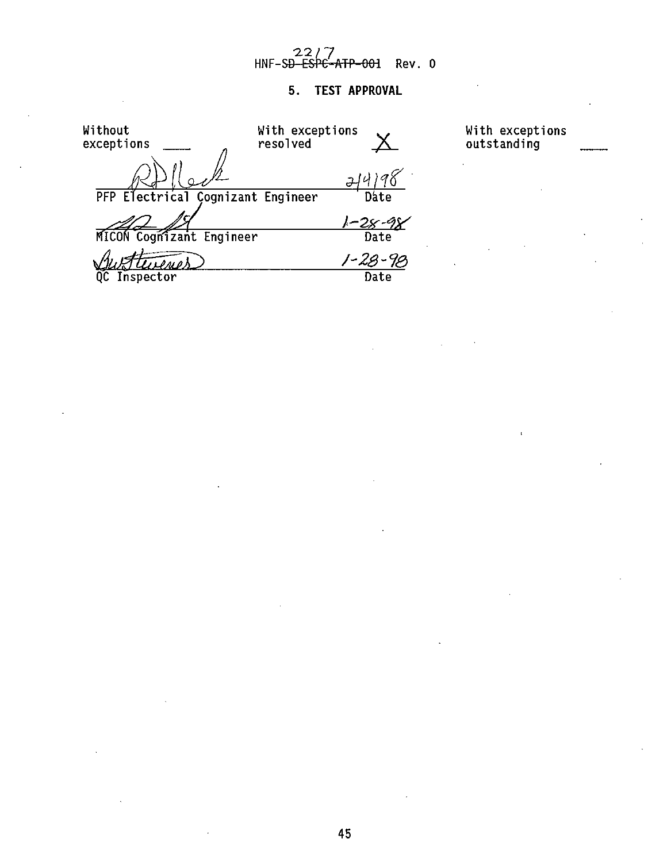# – 22/<mark>/</mark><br>HNF-S<del>D ESPC-ATP-001</del> Rev. 0

## **5. TEST APPROVAL**

| Without                           | With exceptions |      | With exceptions |
|-----------------------------------|-----------------|------|-----------------|
| exceptions                        | resolved        |      | outstanding     |
|                                   |                 |      |                 |
| PFP Electrical Cognizant Engineer |                 | Date |                 |
|                                   |                 |      |                 |
| MICON Cognizant Engineer          |                 | Date |                 |
|                                   |                 |      |                 |
| Inspector                         |                 | Date |                 |